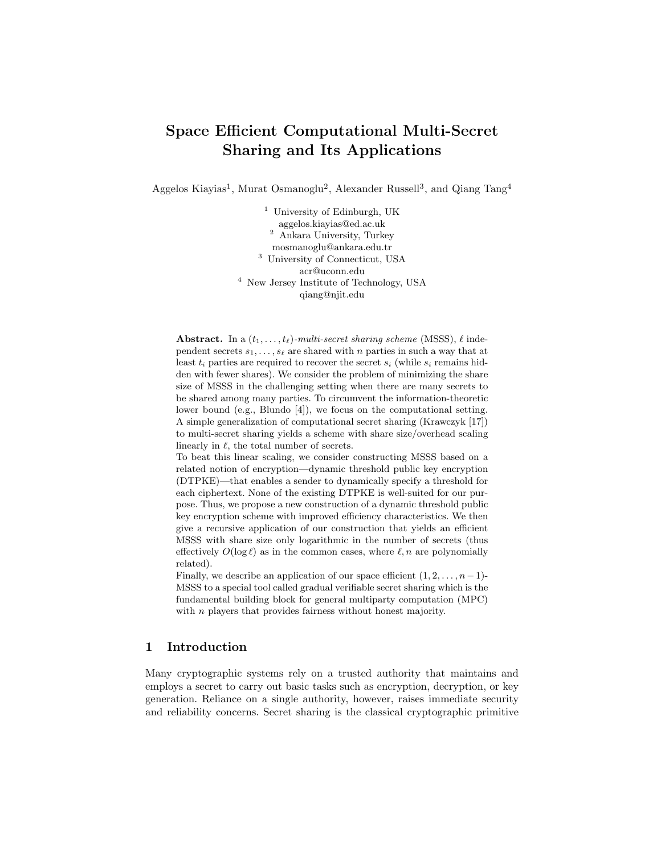# Space Efficient Computational Multi-Secret Sharing and Its Applications

Aggelos Kiayias<sup>1</sup>, Murat Osmanoglu<sup>2</sup>, Alexander Russell<sup>3</sup>, and Qiang Tang<sup>4</sup>

<sup>1</sup> University of Edinburgh, UK aggelos.kiayias@ed.ac.uk <sup>2</sup> Ankara University, Turkey mosmanoglu@ankara.edu.tr <sup>3</sup> University of Connecticut, USA acr@uconn.edu <sup>4</sup> New Jersey Institute of Technology, USA qiang@njit.edu

**Abstract.** In a  $(t_1, \ldots, t_\ell)$ -multi-secret sharing scheme (MSSS),  $\ell$  independent secrets  $s_1, \ldots, s_\ell$  are shared with n parties in such a way that at least  $t_i$  parties are required to recover the secret  $s_i$  (while  $s_i$  remains hidden with fewer shares). We consider the problem of minimizing the share size of MSSS in the challenging setting when there are many secrets to be shared among many parties. To circumvent the information-theoretic lower bound (e.g., Blundo [4]), we focus on the computational setting. A simple generalization of computational secret sharing (Krawczyk [17]) to multi-secret sharing yields a scheme with share size/overhead scaling linearly in  $\ell$ , the total number of secrets.

To beat this linear scaling, we consider constructing MSSS based on a related notion of encryption—dynamic threshold public key encryption (DTPKE)—that enables a sender to dynamically specify a threshold for each ciphertext. None of the existing DTPKE is well-suited for our purpose. Thus, we propose a new construction of a dynamic threshold public key encryption scheme with improved efficiency characteristics. We then give a recursive application of our construction that yields an efficient MSSS with share size only logarithmic in the number of secrets (thus effectively  $O(\log \ell)$  as in the common cases, where  $\ell, n$  are polynomially related).

Finally, we describe an application of our space efficient  $(1, 2, \ldots, n-1)$ -MSSS to a special tool called gradual verifiable secret sharing which is the fundamental building block for general multiparty computation (MPC) with *n* players that provides fairness without honest majority.

# 1 Introduction

Many cryptographic systems rely on a trusted authority that maintains and employs a secret to carry out basic tasks such as encryption, decryption, or key generation. Reliance on a single authority, however, raises immediate security and reliability concerns. Secret sharing is the classical cryptographic primitive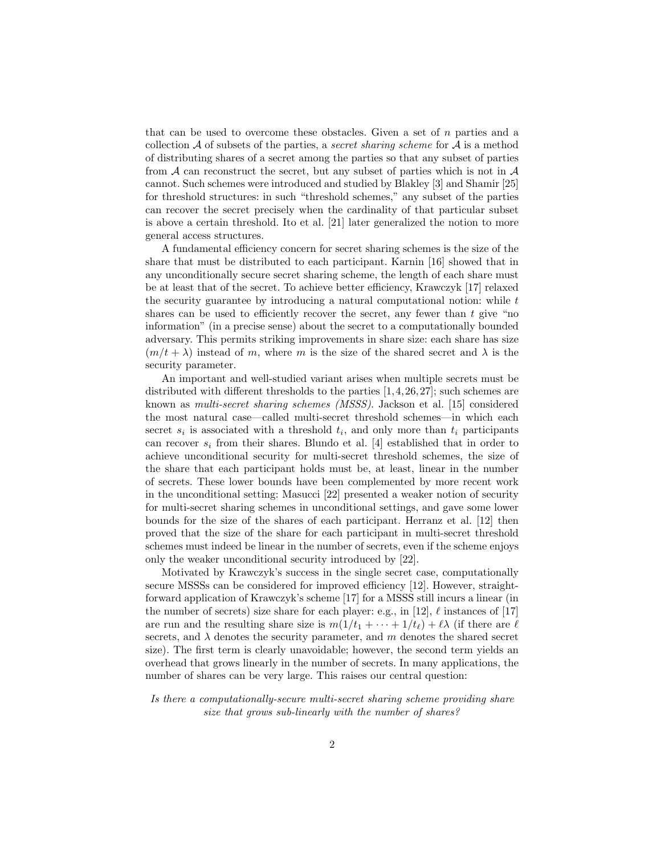that can be used to overcome these obstacles. Given a set of n parties and a collection  $A$  of subsets of the parties, a *secret sharing scheme* for  $A$  is a method of distributing shares of a secret among the parties so that any subset of parties from  $A$  can reconstruct the secret, but any subset of parties which is not in  $A$ cannot. Such schemes were introduced and studied by Blakley [3] and Shamir [25] for threshold structures: in such "threshold schemes," any subset of the parties can recover the secret precisely when the cardinality of that particular subset is above a certain threshold. Ito et al. [21] later generalized the notion to more general access structures.

A fundamental efficiency concern for secret sharing schemes is the size of the share that must be distributed to each participant. Karnin [16] showed that in any unconditionally secure secret sharing scheme, the length of each share must be at least that of the secret. To achieve better efficiency, Krawczyk [17] relaxed the security guarantee by introducing a natural computational notion: while  $t$ shares can be used to efficiently recover the secret, any fewer than  $t$  give "no information" (in a precise sense) about the secret to a computationally bounded adversary. This permits striking improvements in share size: each share has size  $(m/t + \lambda)$  instead of m, where m is the size of the shared secret and  $\lambda$  is the security parameter.

An important and well-studied variant arises when multiple secrets must be distributed with different thresholds to the parties [1,4,26,27]; such schemes are known as multi-secret sharing schemes (MSSS). Jackson et al. [15] considered the most natural case—called multi-secret threshold schemes—in which each secret  $s_i$  is associated with a threshold  $t_i$ , and only more than  $t_i$  participants can recover  $s_i$  from their shares. Blundo et al. [4] established that in order to achieve unconditional security for multi-secret threshold schemes, the size of the share that each participant holds must be, at least, linear in the number of secrets. These lower bounds have been complemented by more recent work in the unconditional setting: Masucci [22] presented a weaker notion of security for multi-secret sharing schemes in unconditional settings, and gave some lower bounds for the size of the shares of each participant. Herranz et al. [12] then proved that the size of the share for each participant in multi-secret threshold schemes must indeed be linear in the number of secrets, even if the scheme enjoys only the weaker unconditional security introduced by [22].

Motivated by Krawczyk's success in the single secret case, computationally secure MSSSs can be considered for improved efficiency [12]. However, straightforward application of Krawczyk's scheme [17] for a MSSS still incurs a linear (in the number of secrets) size share for each player: e.g., in [12],  $\ell$  instances of [17] are run and the resulting share size is  $m(1/t_1 + \cdots + 1/t_\ell) + \ell \lambda$  (if there are  $\ell$ secrets, and  $\lambda$  denotes the security parameter, and m denotes the shared secret size). The first term is clearly unavoidable; however, the second term yields an overhead that grows linearly in the number of secrets. In many applications, the number of shares can be very large. This raises our central question:

Is there a computationally-secure multi-secret sharing scheme providing share size that grows sub-linearly with the number of shares?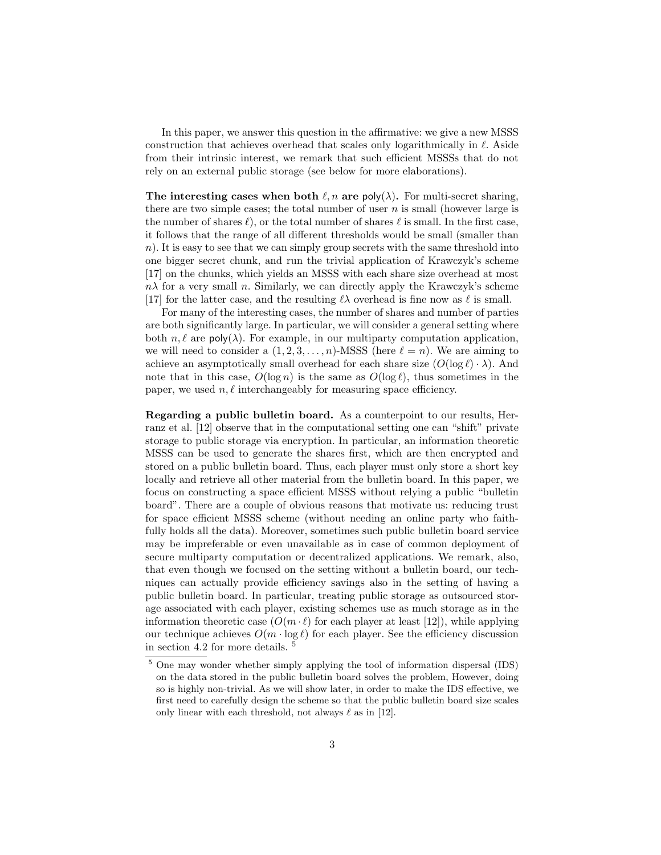In this paper, we answer this question in the affirmative: we give a new MSSS construction that achieves overhead that scales only logarithmically in  $\ell$ . Aside from their intrinsic interest, we remark that such efficient MSSSs that do not rely on an external public storage (see below for more elaborations).

The interesting cases when both  $\ell, n$  are poly( $\lambda$ ). For multi-secret sharing, there are two simple cases; the total number of user  $n$  is small (however large is the number of shares  $\ell$ ), or the total number of shares  $\ell$  is small. In the first case, it follows that the range of all different thresholds would be small (smaller than  $n$ ). It is easy to see that we can simply group secrets with the same threshold into one bigger secret chunk, and run the trivial application of Krawczyk's scheme [17] on the chunks, which yields an MSSS with each share size overhead at most  $n\lambda$  for a very small n. Similarly, we can directly apply the Krawczyk's scheme [17] for the latter case, and the resulting  $\ell \lambda$  overhead is fine now as  $\ell$  is small.

For many of the interesting cases, the number of shares and number of parties are both significantly large. In particular, we will consider a general setting where both  $n, \ell$  are poly( $\lambda$ ). For example, in our multiparty computation application, we will need to consider a  $(1, 2, 3, \ldots, n)$ -MSSS (here  $\ell = n$ ). We are aiming to achieve an asymptotically small overhead for each share size  $(O(\log \ell) \cdot \lambda)$ . And note that in this case,  $O(\log n)$  is the same as  $O(\log \ell)$ , thus sometimes in the paper, we used  $n, \ell$  interchangeably for measuring space efficiency.

Regarding a public bulletin board. As a counterpoint to our results, Herranz et al. [12] observe that in the computational setting one can "shift" private storage to public storage via encryption. In particular, an information theoretic MSSS can be used to generate the shares first, which are then encrypted and stored on a public bulletin board. Thus, each player must only store a short key locally and retrieve all other material from the bulletin board. In this paper, we focus on constructing a space efficient MSSS without relying a public "bulletin board". There are a couple of obvious reasons that motivate us: reducing trust for space efficient MSSS scheme (without needing an online party who faithfully holds all the data). Moreover, sometimes such public bulletin board service may be impreferable or even unavailable as in case of common deployment of secure multiparty computation or decentralized applications. We remark, also, that even though we focused on the setting without a bulletin board, our techniques can actually provide efficiency savings also in the setting of having a public bulletin board. In particular, treating public storage as outsourced storage associated with each player, existing schemes use as much storage as in the information theoretic case  $(O(m \cdot \ell))$  for each player at least [12]), while applying our technique achieves  $O(m \cdot \log \ell)$  for each player. See the efficiency discussion in section 4.2 for more details. <sup>5</sup>

<sup>&</sup>lt;sup>5</sup> One may wonder whether simply applying the tool of information dispersal (IDS) on the data stored in the public bulletin board solves the problem, However, doing so is highly non-trivial. As we will show later, in order to make the IDS effective, we first need to carefully design the scheme so that the public bulletin board size scales only linear with each threshold, not always  $\ell$  as in [12].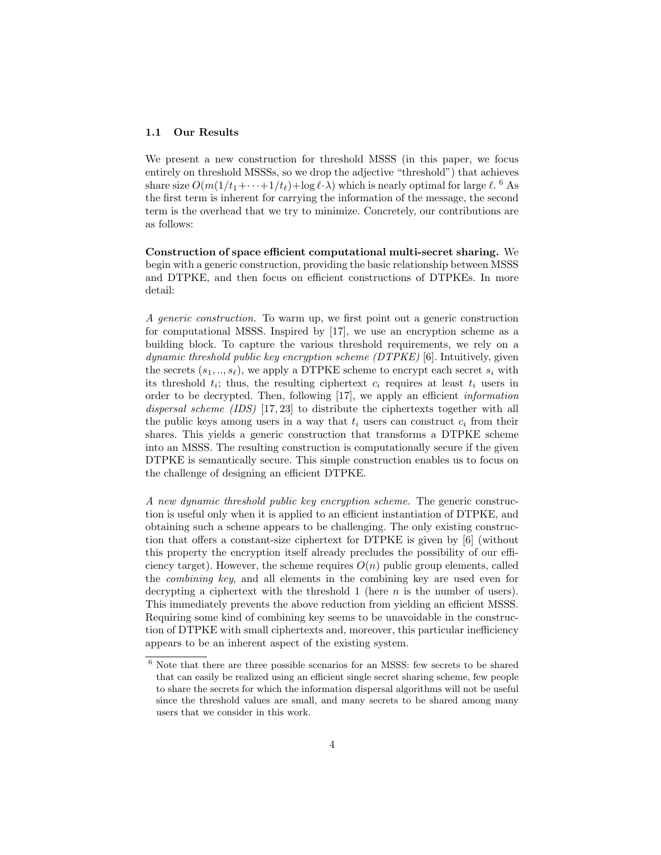#### 1.1 Our Results

We present a new construction for threshold MSSS (in this paper, we focus entirely on threshold MSSSs, so we drop the adjective "threshold") that achieves share size  $O(m(1/t_1 + \cdots + 1/t_\ell) + \log \ell \cdot \lambda)$  which is nearly optimal for large  $\ell$ . <sup>6</sup> As the first term is inherent for carrying the information of the message, the second term is the overhead that we try to minimize. Concretely, our contributions are as follows:

Construction of space efficient computational multi-secret sharing. We begin with a generic construction, providing the basic relationship between MSSS and DTPKE, and then focus on efficient constructions of DTPKEs. In more detail:

A generic construction. To warm up, we first point out a generic construction for computational MSSS. Inspired by [17], we use an encryption scheme as a building block. To capture the various threshold requirements, we rely on a dynamic threshold public key encryption scheme (DTPKE) [6]. Intuitively, given the secrets  $(s_1, ..., s_\ell)$ , we apply a DTPKE scheme to encrypt each secret  $s_i$  with its threshold  $t_i$ ; thus, the resulting ciphertext  $c_i$  requires at least  $t_i$  users in order to be decrypted. Then, following [17], we apply an efficient information dispersal scheme (IDS) [17, 23] to distribute the ciphertexts together with all the public keys among users in a way that  $t_i$  users can construct  $c_i$  from their shares. This yields a generic construction that transforms a DTPKE scheme into an MSSS. The resulting construction is computationally secure if the given DTPKE is semantically secure. This simple construction enables us to focus on the challenge of designing an efficient DTPKE.

A new dynamic threshold public key encryption scheme. The generic construction is useful only when it is applied to an efficient instantiation of DTPKE, and obtaining such a scheme appears to be challenging. The only existing construction that offers a constant-size ciphertext for DTPKE is given by [6] (without this property the encryption itself already precludes the possibility of our efficiency target). However, the scheme requires  $O(n)$  public group elements, called the combining key, and all elements in the combining key are used even for decrypting a ciphertext with the threshold 1 (here  $n$  is the number of users). This immediately prevents the above reduction from yielding an efficient MSSS. Requiring some kind of combining key seems to be unavoidable in the construction of DTPKE with small ciphertexts and, moreover, this particular inefficiency appears to be an inherent aspect of the existing system.

 $6$  Note that there are three possible scenarios for an MSSS: few secrets to be shared that can easily be realized using an efficient single secret sharing scheme, few people to share the secrets for which the information dispersal algorithms will not be useful since the threshold values are small, and many secrets to be shared among many users that we consider in this work.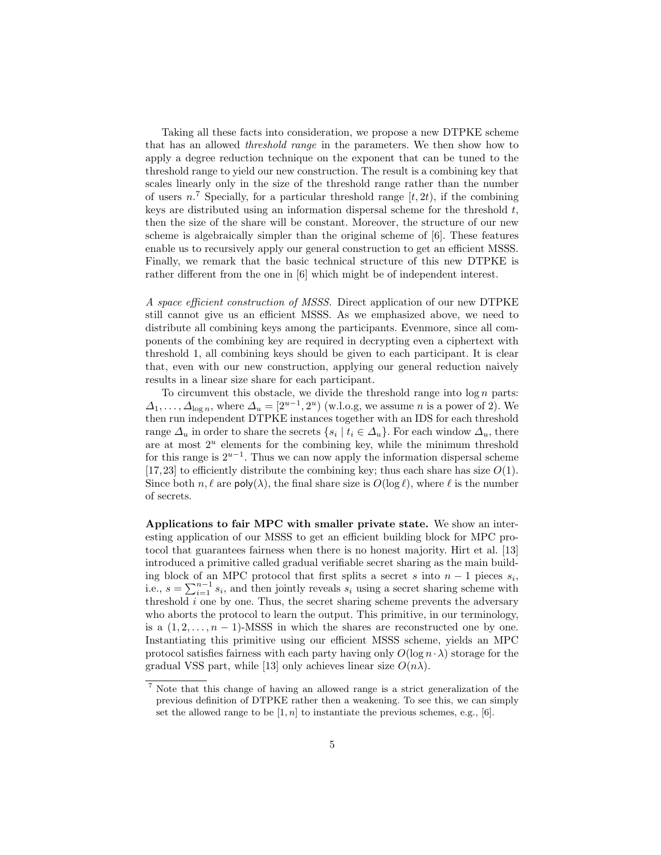Taking all these facts into consideration, we propose a new DTPKE scheme that has an allowed threshold range in the parameters. We then show how to apply a degree reduction technique on the exponent that can be tuned to the threshold range to yield our new construction. The result is a combining key that scales linearly only in the size of the threshold range rather than the number of users  $n^7$ . Specially, for a particular threshold range  $[t, 2t)$ , if the combining keys are distributed using an information dispersal scheme for the threshold  $t$ , then the size of the share will be constant. Moreover, the structure of our new scheme is algebraically simpler than the original scheme of [6]. These features enable us to recursively apply our general construction to get an efficient MSSS. Finally, we remark that the basic technical structure of this new DTPKE is rather different from the one in [6] which might be of independent interest.

A space efficient construction of MSSS. Direct application of our new DTPKE still cannot give us an efficient MSSS. As we emphasized above, we need to distribute all combining keys among the participants. Evenmore, since all components of the combining key are required in decrypting even a ciphertext with threshold 1, all combining keys should be given to each participant. It is clear that, even with our new construction, applying our general reduction naively results in a linear size share for each participant.

To circumvent this obstacle, we divide the threshold range into  $\log n$  parts:  $\Delta_1, \ldots, \Delta_{\log n}$ , where  $\Delta_u = [2^{u-1}, 2^u)$  (w.l.o.g, we assume *n* is a power of 2). We then run independent DTPKE instances together with an IDS for each threshold range  $\Delta_u$  in order to share the secrets  $\{s_i \mid t_i \in \Delta_u\}$ . For each window  $\Delta_u$ , there are at most  $2^u$  elements for the combining key, while the minimum threshold for this range is  $2^{u-1}$ . Thus we can now apply the information dispersal scheme [17,23] to efficiently distribute the combining key; thus each share has size  $O(1)$ . Since both  $n, \ell$  are  $\mathsf{poly}(\lambda)$ , the final share size is  $O(\log \ell)$ , where  $\ell$  is the number of secrets.

Applications to fair MPC with smaller private state. We show an interesting application of our MSSS to get an efficient building block for MPC protocol that guarantees fairness when there is no honest majority. Hirt et al. [13] introduced a primitive called gradual verifiable secret sharing as the main building block of an MPC protocol that first splits a secret s into  $n-1$  pieces  $s_i$ , i.e.,  $s = \sum_{i=1}^{n-1} s_i$ , and then jointly reveals  $s_i$  using a secret sharing scheme with threshold  $i$  one by one. Thus, the secret sharing scheme prevents the adversary who aborts the protocol to learn the output. This primitive, in our terminology, is a  $(1, 2, \ldots, n - 1)$ -MSSS in which the shares are reconstructed one by one. Instantiating this primitive using our efficient MSSS scheme, yields an MPC protocol satisfies fairness with each party having only  $O(\log n \cdot \lambda)$  storage for the gradual VSS part, while [13] only achieves linear size  $O(n\lambda)$ .

<sup>7</sup> Note that this change of having an allowed range is a strict generalization of the previous definition of DTPKE rather then a weakening. To see this, we can simply set the allowed range to be  $[1, n]$  to instantiate the previous schemes, e.g., [6].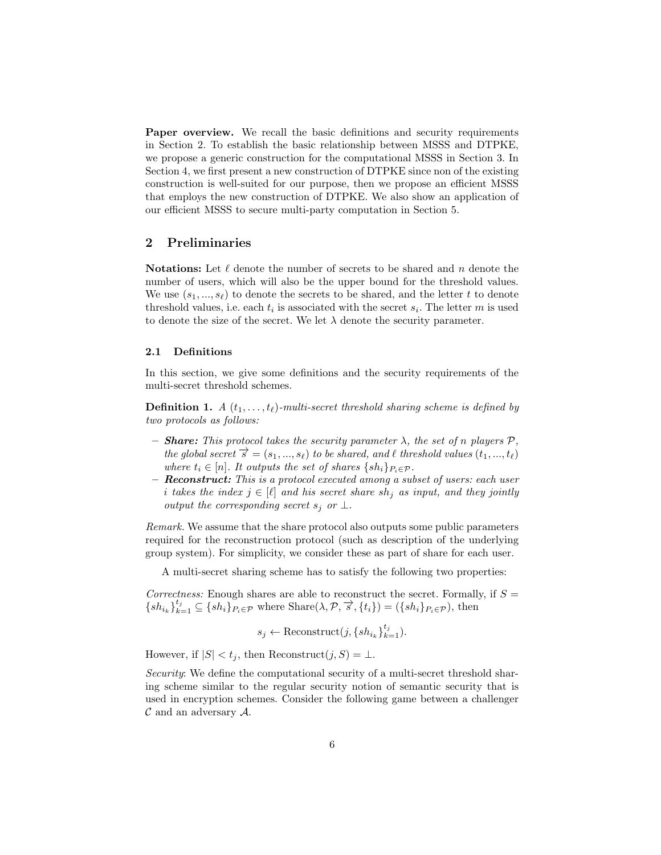Paper overview. We recall the basic definitions and security requirements in Section 2. To establish the basic relationship between MSSS and DTPKE, we propose a generic construction for the computational MSSS in Section 3. In Section 4, we first present a new construction of DTPKE since non of the existing construction is well-suited for our purpose, then we propose an efficient MSSS that employs the new construction of DTPKE. We also show an application of our efficient MSSS to secure multi-party computation in Section 5.

# 2 Preliminaries

**Notations:** Let  $\ell$  denote the number of secrets to be shared and n denote the number of users, which will also be the upper bound for the threshold values. We use  $(s_1, ..., s_\ell)$  to denote the secrets to be shared, and the letter t to denote threshold values, i.e. each  $t_i$  is associated with the secret  $s_i$ . The letter m is used to denote the size of the secret. We let  $\lambda$  denote the security parameter.

#### 2.1 Definitions

In this section, we give some definitions and the security requirements of the multi-secret threshold schemes.

**Definition 1.** A  $(t_1, \ldots, t_\ell)$ -multi-secret threshold sharing scheme is defined by two protocols as follows:

- **Share:** This protocol takes the security parameter  $\lambda$ , the set of n players  $\mathcal{P}$ , the global secret  $\vec{s} = (s_1, ..., s_\ell)$  to be shared, and  $\ell$  threshold values  $(t_1, ..., t_\ell)$ where  $t_i \in [n]$ . It outputs the set of shares  $\{sh_i\}_{P_i \in \mathcal{P}}$ .
- Reconstruct: This is a protocol executed among a subset of users: each user i takes the index  $j \in [\ell]$  and his secret share sh<sub>i</sub> as input, and they jointly output the corresponding secret  $s_j$  or  $\perp$ .

Remark. We assume that the share protocol also outputs some public parameters required for the reconstruction protocol (such as description of the underlying group system). For simplicity, we consider these as part of share for each user.

A multi-secret sharing scheme has to satisfy the following two properties:

Correctness: Enough shares are able to reconstruct the secret. Formally, if  $S =$  ${s_h}_{k=1} \subseteq {s_h}_{i}P_{i \in \mathcal{P}}$  where  $\text{Share}(\lambda, \mathcal{P}, \overrightarrow{s}, \{t_i\}) = ({s_h}_{i}P_{i \in \mathcal{P}})$ , then

$$
s_j \leftarrow \text{Reconstruct}(j, \{sh_{i_k}\}_{k=1}^{t_j}).
$$

However, if  $|S| < t_j$ , then Reconstruct $(j, S) = \bot$ .

Security: We define the computational security of a multi-secret threshold sharing scheme similar to the regular security notion of semantic security that is used in encryption schemes. Consider the following game between a challenger  $\mathcal C$  and an adversary  $\mathcal A$ .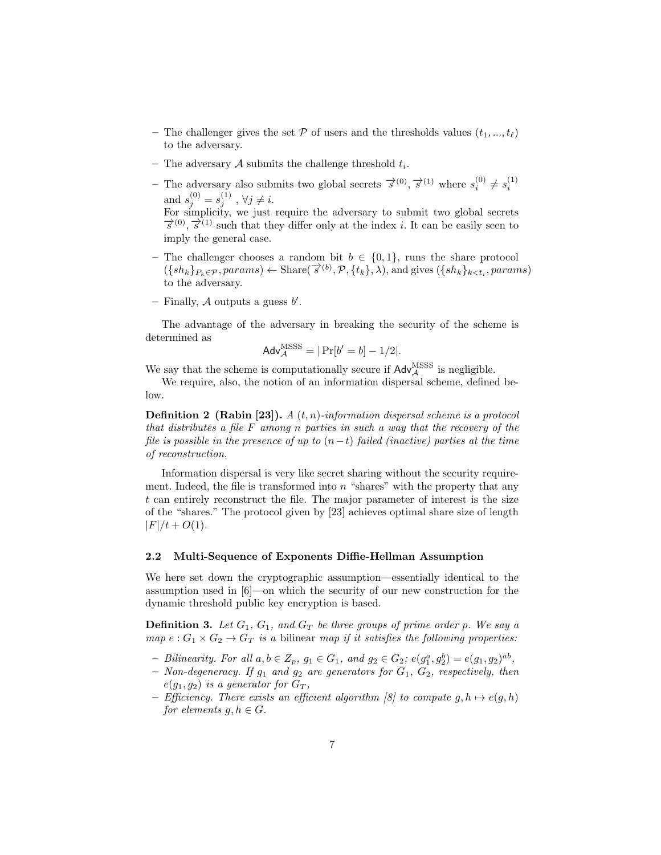- The challenger gives the set  $P$  of users and the thresholds values  $(t_1, ..., t_\ell)$ to the adversary.
- The adversary  $A$  submits the challenge threshold  $t_i$ .
- − The adversary also submits two global secrets  $\overrightarrow{s}^{(0)}, \overrightarrow{s}^{(1)}$  where  $s_i^{(0)} \neq s_i^{(1)}$ and  $s_j^{(0)} = s_j^{(1)}$ ,  $\forall j \neq i$ . For simplicity, we just require the adversary to submit two global secrets  $\vec{s}^{(0)}, \vec{s}^{(1)}$  such that they differ only at the index *i*. It can be easily seen to imply the general case.
- The challenger chooses a random bit  $b \in \{0, 1\}$ , runs the share protocol  $(\{sh_k\}_{k\in\mathcal{P}}, \text{params}) \leftarrow \text{Share}(\overrightarrow{s}^{(b)}, \mathcal{P}, \{t_k\}, \lambda)$ , and gives  $(\{sh_k\}_{k\leq t_i}, \text{params})$ to the adversary.
- Finally,  $A$  outputs a guess  $b'$ .

The advantage of the adversary in breaking the security of the scheme is determined as

$$
Adv_{\mathcal{A}}^{\rm MSSS} = |\Pr[b' = b] - 1/2|.
$$

We say that the scheme is computationally secure if  $\mathsf{Adv}_{\mathcal{A}}^{\text{MSSS}}$  is negligible.

We require, also, the notion of an information dispersal scheme, defined below.

**Definition 2 (Rabin [23]).**  $A(t, n)$ -information dispersal scheme is a protocol that distributes a file F among n parties in such a way that the recovery of the file is possible in the presence of up to  $(n-t)$  failed (inactive) parties at the time of reconstruction.

Information dispersal is very like secret sharing without the security requirement. Indeed, the file is transformed into  $n$  "shares" with the property that any t can entirely reconstruct the file. The major parameter of interest is the size of the "shares." The protocol given by [23] achieves optimal share size of length  $|F|/t + O(1)$ .

#### 2.2 Multi-Sequence of Exponents Diffie-Hellman Assumption

We here set down the cryptographic assumption—essentially identical to the assumption used in [6]—on which the security of our new construction for the dynamic threshold public key encryption is based.

**Definition 3.** Let  $G_1$ ,  $G_1$ , and  $G_T$  be three groups of prime order p. We say a map  $e: G_1 \times G_2 \rightarrow G_T$  is a bilinear map if it satisfies the following properties:

- − Bilinearity. For all  $a, b \in Z_p$ ,  $g_1 \in G_1$ , and  $g_2 \in G_2$ ;  $e(g_1^a, g_2^b) = e(g_1, g_2)^{ab}$ ,
- Non-degeneracy. If  $g_1$  and  $g_2$  are generators for  $G_1$ ,  $G_2$ , respectively, then  $e(g_1, g_2)$  is a generator for  $G_T$ ,
- Efficiency. There exists an efficient algorithm [8] to compute  $q, h \mapsto e(q, h)$ for elements  $q, h \in G$ .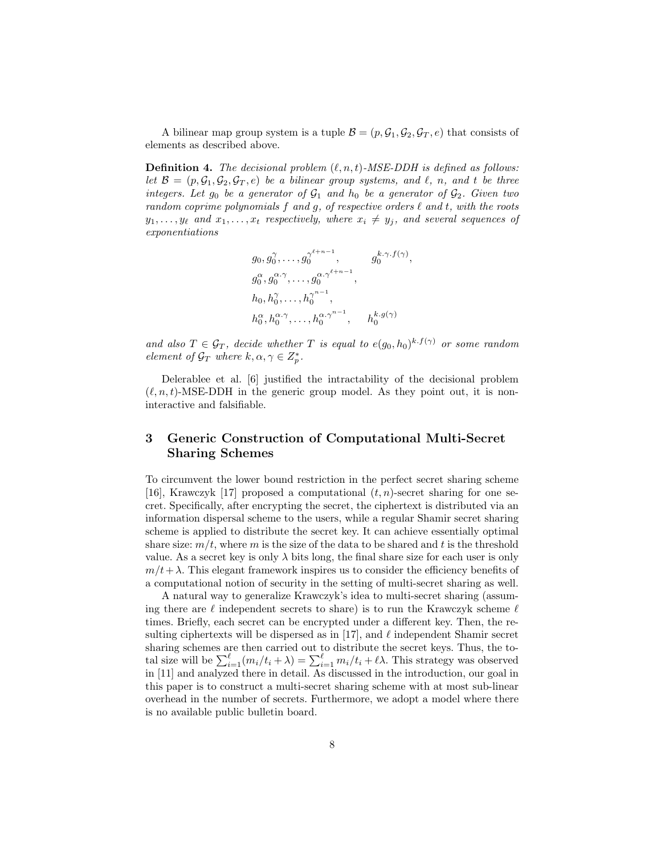A bilinear map group system is a tuple  $\mathcal{B} = (p, \mathcal{G}_1, \mathcal{G}_2, \mathcal{G}_T, e)$  that consists of elements as described above.

**Definition 4.** The decisional problem  $(\ell, n, t)$ -MSE-DDH is defined as follows: let  $\mathcal{B} = (p, \mathcal{G}_1, \mathcal{G}_2, \mathcal{G}_T, e)$  be a bilinear group systems, and  $\ell$ , n, and t be three integers. Let  $g_0$  be a generator of  $\mathcal{G}_1$  and  $h_0$  be a generator of  $\mathcal{G}_2$ . Given two random coprime polynomials  $f$  and  $g$ , of respective orders  $\ell$  and  $t$ , with the roots  $y_1, \ldots, y_\ell$  and  $x_1, \ldots, x_t$  respectively, where  $x_i \neq y_j$ , and several sequences of exponentiations

$$
g_0, g_0^{\gamma}, \dots, g_0^{\gamma^{\ell+n-1}}, \qquad g_0^{k, \gamma, f(\gamma)},
$$
  
\n
$$
g_0^{\alpha}, g_0^{\alpha, \gamma}, \dots, g_0^{\alpha, \gamma^{\ell+n-1}},
$$
  
\n
$$
h_0, h_0^{\gamma}, \dots, h_0^{\gamma^{n-1}}, \qquad h_0^{k, g(\gamma)}
$$
  
\n
$$
h_0^{\alpha}, h_0^{\alpha, \gamma}, \dots, h_0^{\alpha, \gamma^{n-1}}, \qquad h_0^{k, g(\gamma)}
$$

and also  $T \in \mathcal{G}_T$ , decide whether T is equal to  $e(g_0, h_0)^{k \cdot f(\gamma)}$  or some random element of  $\mathcal{G}_T$  where  $k, \alpha, \gamma \in Z_p^*$ .

Delerablee et al. [6] justified the intractability of the decisional problem  $(\ell, n, t)$ -MSE-DDH in the generic group model. As they point out, it is noninteractive and falsifiable.

# 3 Generic Construction of Computational Multi-Secret Sharing Schemes

To circumvent the lower bound restriction in the perfect secret sharing scheme [16], Krawczyk [17] proposed a computational  $(t, n)$ -secret sharing for one secret. Specifically, after encrypting the secret, the ciphertext is distributed via an information dispersal scheme to the users, while a regular Shamir secret sharing scheme is applied to distribute the secret key. It can achieve essentially optimal share size:  $m/t$ , where m is the size of the data to be shared and t is the threshold value. As a secret key is only  $\lambda$  bits long, the final share size for each user is only  $m/t + \lambda$ . This elegant framework inspires us to consider the efficiency benefits of a computational notion of security in the setting of multi-secret sharing as well.

A natural way to generalize Krawczyk's idea to multi-secret sharing (assuming there are  $\ell$  independent secrets to share) is to run the Krawczyk scheme  $\ell$ times. Briefly, each secret can be encrypted under a different key. Then, the resulting ciphertexts will be dispersed as in [17], and  $\ell$  independent Shamir secret sharing schemes are then carried out to distribute the secret keys. Thus, the total size will be  $\sum_{i=1}^{\ell} (m_i/t_i + \lambda) = \sum_{i=1}^{\ell} m_i/t_i + \ell \lambda$ . This strategy was observed in [11] and analyzed there in detail. As discussed in the introduction, our goal in this paper is to construct a multi-secret sharing scheme with at most sub-linear overhead in the number of secrets. Furthermore, we adopt a model where there is no available public bulletin board.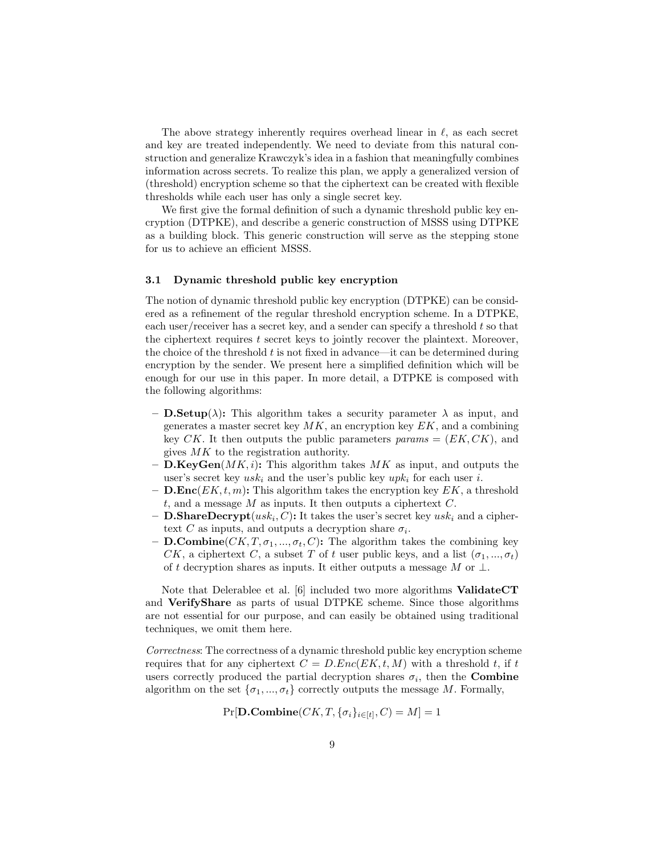The above strategy inherently requires overhead linear in  $\ell$ , as each secret and key are treated independently. We need to deviate from this natural construction and generalize Krawczyk's idea in a fashion that meaningfully combines information across secrets. To realize this plan, we apply a generalized version of (threshold) encryption scheme so that the ciphertext can be created with flexible thresholds while each user has only a single secret key.

We first give the formal definition of such a dynamic threshold public key encryption (DTPKE), and describe a generic construction of MSSS using DTPKE as a building block. This generic construction will serve as the stepping stone for us to achieve an efficient MSSS.

#### 3.1 Dynamic threshold public key encryption

The notion of dynamic threshold public key encryption (DTPKE) can be considered as a refinement of the regular threshold encryption scheme. In a DTPKE, each user/receiver has a secret key, and a sender can specify a threshold  $t$  so that the ciphertext requires  $t$  secret keys to jointly recover the plaintext. Moreover, the choice of the threshold  $t$  is not fixed in advance—it can be determined during encryption by the sender. We present here a simplified definition which will be enough for our use in this paper. In more detail, a DTPKE is composed with the following algorithms:

- **D.Setup**( $\lambda$ ): This algorithm takes a security parameter  $\lambda$  as input, and generates a master secret key  $MK$ , an encryption key  $EK$ , and a combining key CK. It then outputs the public parameters  $params = (EK, CK)$ , and gives MK to the registration authority.
- **D.KeyGen**( $MK, i$ ): This algorithm takes  $MK$  as input, and outputs the user's secret key  $usk_i$  and the user's public key  $upk_i$  for each user i.
- D.Enc $(EK, t, m)$ : This algorithm takes the encryption key  $EK$ , a threshold t, and a message  $M$  as inputs. It then outputs a ciphertext  $C$ .
- **D.ShareDecrypt** $(usk_i, C)$ : It takes the user's secret key  $usk_i$  and a ciphertext C as inputs, and outputs a decryption share  $\sigma_i$ .
- **D.Combine**( $CK, T, \sigma_1, ..., \sigma_t, C$ ): The algorithm takes the combining key CK, a ciphertext C, a subset T of t user public keys, and a list  $(\sigma_1, ..., \sigma_t)$ of t decryption shares as inputs. It either outputs a message M or  $\perp$ .

Note that Delerablee et al. [6] included two more algorithms ValidateCT and VerifyShare as parts of usual DTPKE scheme. Since those algorithms are not essential for our purpose, and can easily be obtained using traditional techniques, we omit them here.

Correctness: The correctness of a dynamic threshold public key encryption scheme requires that for any ciphertext  $C = D.Enc(EX, t, M)$  with a threshold t, if t users correctly produced the partial decryption shares  $\sigma_i$ , then the **Combine** algorithm on the set  $\{\sigma_1, ..., \sigma_t\}$  correctly outputs the message M. Formally,

 $\Pr[\mathbf{D}. \mathbf{Combine}(CK, T, \{\sigma_i\}_{i \in [t]}, C) = M] = 1$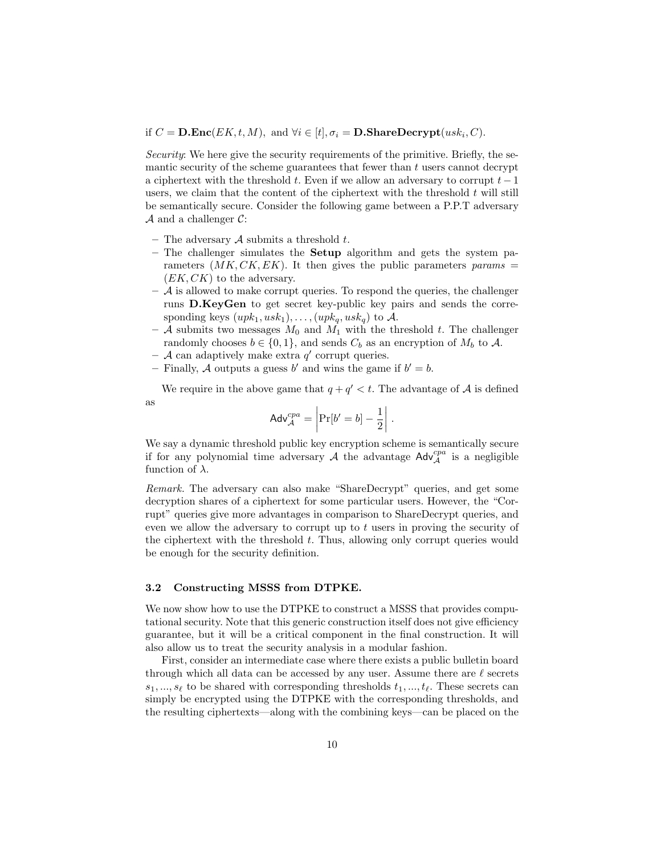### if  $C = \mathbf{D}.\mathbf{Enc}(EK, t, M)$ , and  $\forall i \in [t], \sigma_i = \mathbf{D}.\mathbf{ShareDecrypt}(usk_i, C)$ .

Security: We here give the security requirements of the primitive. Briefly, the semantic security of the scheme guarantees that fewer than  $t$  users cannot decrypt a ciphertext with the threshold t. Even if we allow an adversary to corrupt  $t - 1$ users, we claim that the content of the ciphertext with the threshold  $t$  will still be semantically secure. Consider the following game between a P.P.T adversary  $\mathcal A$  and a challenger  $\mathcal C$ :

- The adversary  $A$  submits a threshold  $t$ .
- $-$  The challenger simulates the **Setup** algorithm and gets the system parameters  $(MK, CK, EK)$ . It then gives the public parameters params =  $(EK, CK)$  to the adversary.
- $-$  A is allowed to make corrupt queries. To respond the queries, the challenger runs D.KeyGen to get secret key-public key pairs and sends the corresponding keys  $(upk_1, usk_1), \ldots, (upk_q, usk_q)$  to A.
- A submits two messages  $M_0$  and  $M_1$  with the threshold t. The challenger randomly chooses  $b \in \{0, 1\}$ , and sends  $C_b$  as an encryption of  $M_b$  to  $\mathcal{A}$ .
- $-$  A can adaptively make extra  $q'$  corrupt queries.
- Finally, A outputs a guess b' and wins the game if  $b' = b$ .

We require in the above game that  $q + q' < t$ . The advantage of A is defined as

$$
Adv_{\mathcal{A}}^{cpa} = \left| \Pr[b' = b] - \frac{1}{2} \right|.
$$

We say a dynamic threshold public key encryption scheme is semantically secure if for any polynomial time adversary  $A$  the advantage  $\mathsf{Adv}_{\mathcal{A}}^{cpa}$  is a negligible function of  $\lambda$ .

Remark. The adversary can also make "ShareDecrypt" queries, and get some decryption shares of a ciphertext for some particular users. However, the "Corrupt" queries give more advantages in comparison to ShareDecrypt queries, and even we allow the adversary to corrupt up to  $t$  users in proving the security of the ciphertext with the threshold  $t$ . Thus, allowing only corrupt queries would be enough for the security definition.

#### 3.2 Constructing MSSS from DTPKE.

We now show how to use the DTPKE to construct a MSSS that provides computational security. Note that this generic construction itself does not give efficiency guarantee, but it will be a critical component in the final construction. It will also allow us to treat the security analysis in a modular fashion.

First, consider an intermediate case where there exists a public bulletin board through which all data can be accessed by any user. Assume there are  $\ell$  secrets  $s_1, ..., s_\ell$  to be shared with corresponding thresholds  $t_1, ..., t_\ell$ . These secrets can simply be encrypted using the DTPKE with the corresponding thresholds, and the resulting ciphertexts—along with the combining keys—can be placed on the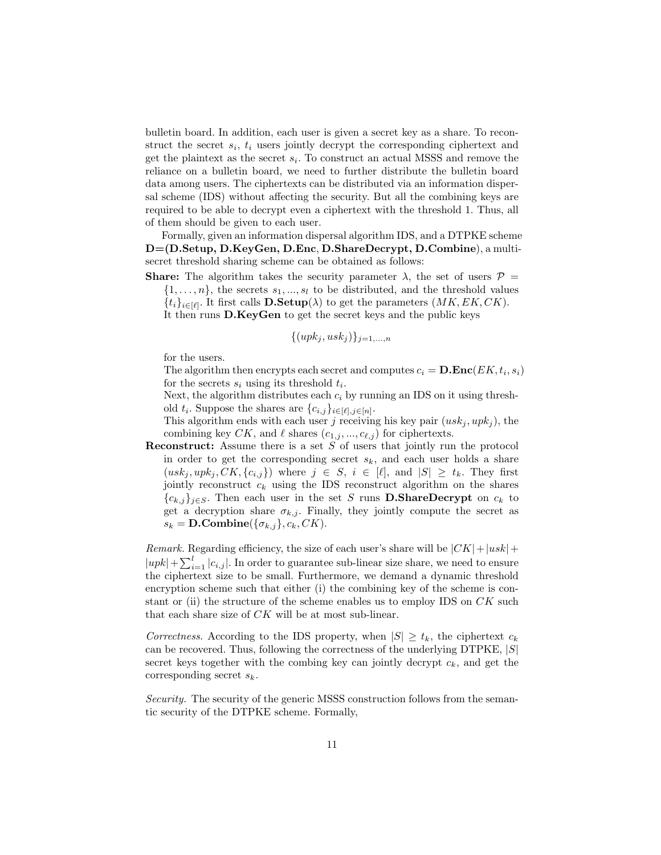bulletin board. In addition, each user is given a secret key as a share. To reconstruct the secret  $s_i$ ,  $t_i$  users jointly decrypt the corresponding ciphertext and get the plaintext as the secret  $s_i$ . To construct an actual MSSS and remove the reliance on a bulletin board, we need to further distribute the bulletin board data among users. The ciphertexts can be distributed via an information dispersal scheme (IDS) without affecting the security. But all the combining keys are required to be able to decrypt even a ciphertext with the threshold 1. Thus, all of them should be given to each user.

Formally, given an information dispersal algorithm IDS, and a DTPKE scheme D=(D.Setup, D.KeyGen, D.Enc, D.ShareDecrypt, D.Combine), a multisecret threshold sharing scheme can be obtained as follows:

**Share:** The algorithm takes the security parameter  $\lambda$ , the set of users  $\mathcal{P} =$ 

 $\{1, \ldots, n\}$ , the secrets  $s_1, \ldots, s_l$  to be distributed, and the threshold values  $\{t_i\}_{i\in[\ell]}$ . It first calls  $\mathbf{D}.\mathbf{Setup}(\lambda)$  to get the parameters  $(MK, EK, CK)$ .

It then runs D.KeyGen to get the secret keys and the public keys

$$
\{(upk_j,usk_j)\}_{j=1,\ldots,n}
$$

for the users.

The algorithm then encrypts each secret and computes  $c_i = \mathbf{D}.\mathbf{Enc}(EK, t_i, s_i)$ for the secrets  $s_i$  using its threshold  $t_i$ .

Next, the algorithm distributes each  $c_i$  by running an IDS on it using threshold  $t_i$ . Suppose the shares are  $\{c_{i,j}\}_{i\in[\ell],j\in[n]}$ .

This algorithm ends with each user j receiving his key pair  $(usk_j, upk_j)$ , the combining key CK, and  $\ell$  shares  $(c_{1,j}, ..., c_{\ell,j})$  for ciphertexts.

**Reconstruct:** Assume there is a set  $S$  of users that jointly run the protocol in order to get the corresponding secret  $s_k$ , and each user holds a share  $(usk_j, upk_j, CK, \{c_{i,j}\})$  where  $j \in S, i \in [\ell],$  and  $|S| \geq t_k$ . They first jointly reconstruct  $c_k$  using the IDS reconstruct algorithm on the shares  ${c_{k,j}}_{j \in S}$ . Then each user in the set S runs **D.ShareDecrypt** on  $c_k$  to get a decryption share  $\sigma_{k,j}$ . Finally, they jointly compute the secret as  $s_k = \mathbf{D}.\text{Combine}(\{\sigma_{k,j}\}, c_k, CK).$ 

*Remark.* Regarding efficiency, the size of each user's share will be  $|CK|+|usk|+$  $|upk| + \sum_{i=1}^{l} |c_{i,j}|$ . In order to guarantee sub-linear size share, we need to ensure the ciphertext size to be small. Furthermore, we demand a dynamic threshold encryption scheme such that either (i) the combining key of the scheme is constant or (ii) the structure of the scheme enables us to employ IDS on  $CK$  such that each share size of CK will be at most sub-linear.

Correctness. According to the IDS property, when  $|S| \geq t_k$ , the ciphertext  $c_k$ can be recovered. Thus, following the correctness of the underlying DTPKE,  $|S|$ secret keys together with the combing key can jointly decrypt  $c_k$ , and get the corresponding secret  $s_k$ .

Security. The security of the generic MSSS construction follows from the semantic security of the DTPKE scheme. Formally,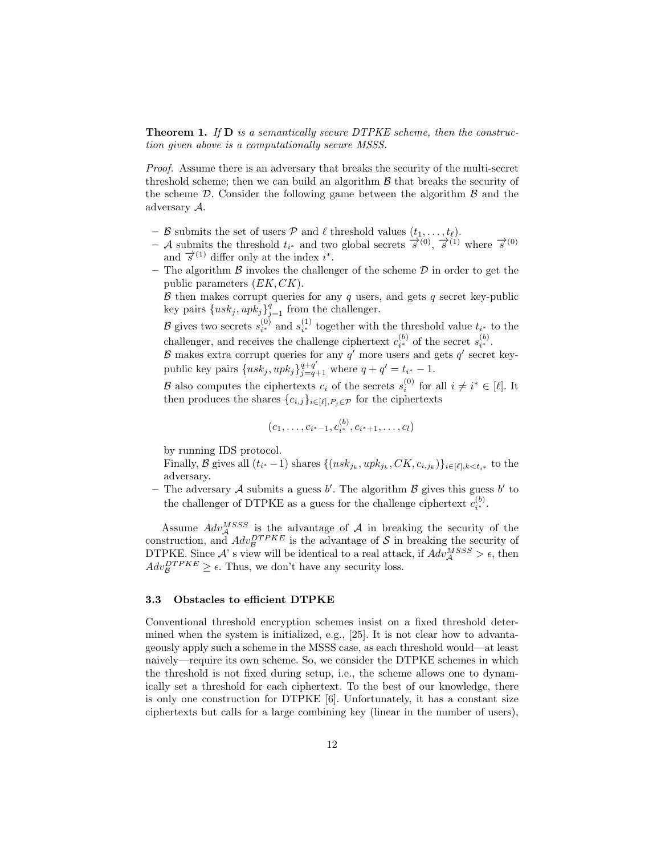**Theorem 1.** If  $D$  is a semantically secure DTPKE scheme, then the construction given above is a computationally secure MSSS.

Proof. Assume there is an adversary that breaks the security of the multi-secret threshold scheme; then we can build an algorithm  $\beta$  that breaks the security of the scheme  $\mathcal{D}$ . Consider the following game between the algorithm  $\beta$  and the adversary A.

- B submits the set of users P and  $\ell$  threshold values  $(t_1, \ldots, t_\ell)$ .
- $-$  A submits the threshold  $t_{i^*}$  and two global secrets  $\overrightarrow{s}^{(0)}$ ,  $\overrightarrow{s}^{(1)}$  where  $\overrightarrow{s}^{(0)}$ and  $\vec{s}^{(1)}$  differ only at the index i<sup>\*</sup>.
- The algorithm  $\beta$  invokes the challenger of the scheme  $\mathcal D$  in order to get the public parameters  $(EK, CK)$ .

 $\beta$  then makes corrupt queries for any  $q$  users, and gets  $q$  secret key-public key pairs  $\{usk_j, upk_j\}_{j=1}^q$  from the challenger.

B gives two secrets  $s_{i^*}^{(0)}$  and  $s_{i^*}^{(1)}$  together with the threshold value  $t_{i^*}$  to the challenger, and receives the challenge ciphertext  $c_{i^*}^{(b)}$  of the secret  $s_{i^*}^{(b)}$ .

 $\beta$  makes extra corrupt queries for any  $q'$  more users and gets  $q'$  secret keypublic key pairs  $\{usk_j, upk_j\}_{j=q+1}^{q+q'}$  where  $q + q' = t_{i^*} - 1$ .

B also computes the ciphertexts  $c_i$  of the secrets  $s_i^{(0)}$  for all  $i \neq i^* \in [\ell]$ . It then produces the shares  $\{c_{i,j}\}_{i\in[\ell],P_i\in\mathcal{P}}$  for the ciphertexts

$$
(c_1,\ldots,c_{i^*-1},c_{i^*}^{(b)},c_{i^*+1},\ldots,c_l)
$$

by running IDS protocol.

Finally, B gives all  $(t_{i^*}-1)$  shares  $\{(usk_{j_k}, upk_{j_k}, CK, c_{i,j_k})\}_{i \in [\ell], k < t_{i^*}}$  to the adversary.

- The adversary A submits a guess  $b'$ . The algorithm  $\beta$  gives this guess  $b'$  to the challenger of DTPKE as a guess for the challenge ciphertext  $c_i^{(b)}$ .

Assume  $Adv_{\mathcal{A}}^{MSSS}$  is the advantage of  $\mathcal{A}$  in breaking the security of the construction, and  $Adv_{\mathcal{B}}^{DTPKE}$  is the advantage of S in breaking the security of DTPKE. Since A' s view will be identical to a real attack, if  $Adv_{\mathcal{A}}^{MSSS} > \epsilon$ , then  $Adv_{\mathcal{B}}^{DTPKE} \geq \epsilon$ . Thus, we don't have any security loss.

#### 3.3 Obstacles to efficient DTPKE

Conventional threshold encryption schemes insist on a fixed threshold determined when the system is initialized, e.g., [25]. It is not clear how to advantageously apply such a scheme in the MSSS case, as each threshold would—at least naively—require its own scheme. So, we consider the DTPKE schemes in which the threshold is not fixed during setup, i.e., the scheme allows one to dynamically set a threshold for each ciphertext. To the best of our knowledge, there is only one construction for DTPKE [6]. Unfortunately, it has a constant size ciphertexts but calls for a large combining key (linear in the number of users),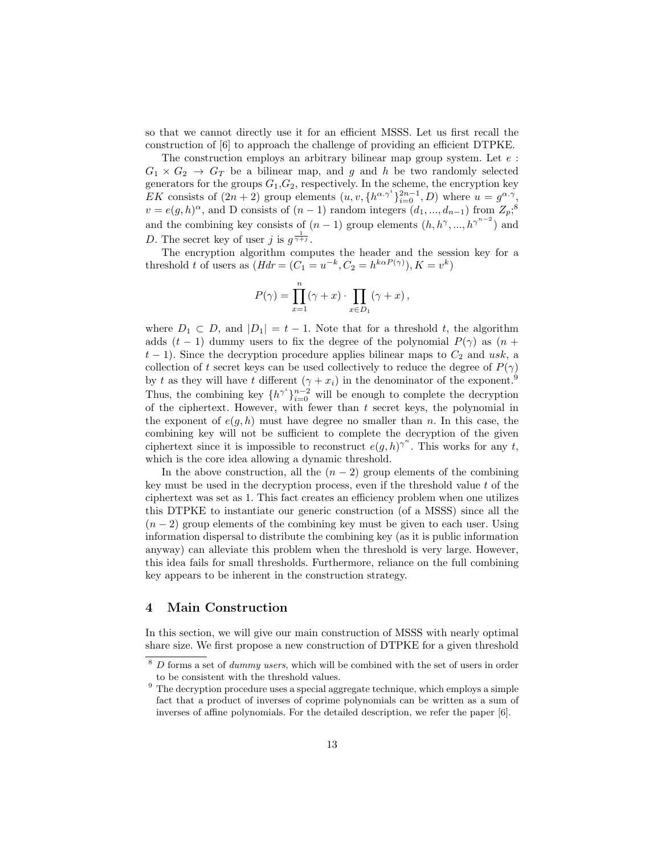so that we cannot directly use it for an efficient MSSS. Let us first recall the construction of [6] to approach the challenge of providing an efficient DTPKE.

The construction employs an arbitrary bilinear map group system. Let  $e$ :  $G_1 \times G_2 \rightarrow G_T$  be a bilinear map, and g and h be two randomly selected generators for the groups  $G_1, G_2$ , respectively. In the scheme, the encryption key EK consists of  $(2n + 2)$  group elements  $(u, v, \{h^{\alpha \gamma^i}\}_{i=0}^{2n-1}, D)$  where  $u = g^{\alpha \cdot \gamma}$ ,  $v = e(g, h)^\alpha$ , and D consists of  $(n-1)$  random integers  $(d_1, ..., d_{n-1})$  from  $Z_p$ <sup>3</sup>,<sup>8</sup> and the combining key consists of  $(n-1)$  group elements  $(h, h^{\gamma}, ..., h^{\gamma^{n-2}})$  and D. The secret key of user j is  $g^{\frac{1}{\gamma+j}}$ .

The encryption algorithm computes the header and the session key for a threshold t of users as  $(Hdr = (C_1 = u^{-k}, C_2 = h^{k\alpha P(\gamma)}), K = v^k)$ 

$$
P(\gamma) = \prod_{x=1}^{n} (\gamma + x) \cdot \prod_{x \in D_1} (\gamma + x),
$$

where  $D_1 \subset D$ , and  $|D_1| = t - 1$ . Note that for a threshold t, the algorithm adds  $(t-1)$  dummy users to fix the degree of the polynomial  $P(\gamma)$  as  $(n +$  $t-1$ ). Since the decryption procedure applies bilinear maps to  $C_2$  and usk, a collection of t secret keys can be used collectively to reduce the degree of  $P(\gamma)$ by t as they will have t different  $(\gamma + x_i)$  in the denominator of the exponent.<sup>9</sup> Thus, the combining key  $\{h^{\gamma^i}\}_{i=0}^{n-2}$  will be enough to complete the decryption of the ciphertext. However, with fewer than  $t$  secret keys, the polynomial in the exponent of  $e(g, h)$  must have degree no smaller than n. In this case, the combining key will not be sufficient to complete the decryption of the given ciphertext since it is impossible to reconstruct  $e(g, h)$ <sup>n</sup>. This works for any t, which is the core idea allowing a dynamic threshold.

In the above construction, all the  $(n-2)$  group elements of the combining key must be used in the decryption process, even if the threshold value  $t$  of the ciphertext was set as 1. This fact creates an efficiency problem when one utilizes this DTPKE to instantiate our generic construction (of a MSSS) since all the  $(n-2)$  group elements of the combining key must be given to each user. Using information dispersal to distribute the combining key (as it is public information anyway) can alleviate this problem when the threshold is very large. However, this idea fails for small thresholds. Furthermore, reliance on the full combining key appears to be inherent in the construction strategy.

# 4 Main Construction

In this section, we will give our main construction of MSSS with nearly optimal share size. We first propose a new construction of DTPKE for a given threshold

 $8\,D$  forms a set of *dummy users*, which will be combined with the set of users in order to be consistent with the threshold values.

 $9$  The decryption procedure uses a special aggregate technique, which employs a simple fact that a product of inverses of coprime polynomials can be written as a sum of inverses of affine polynomials. For the detailed description, we refer the paper [6].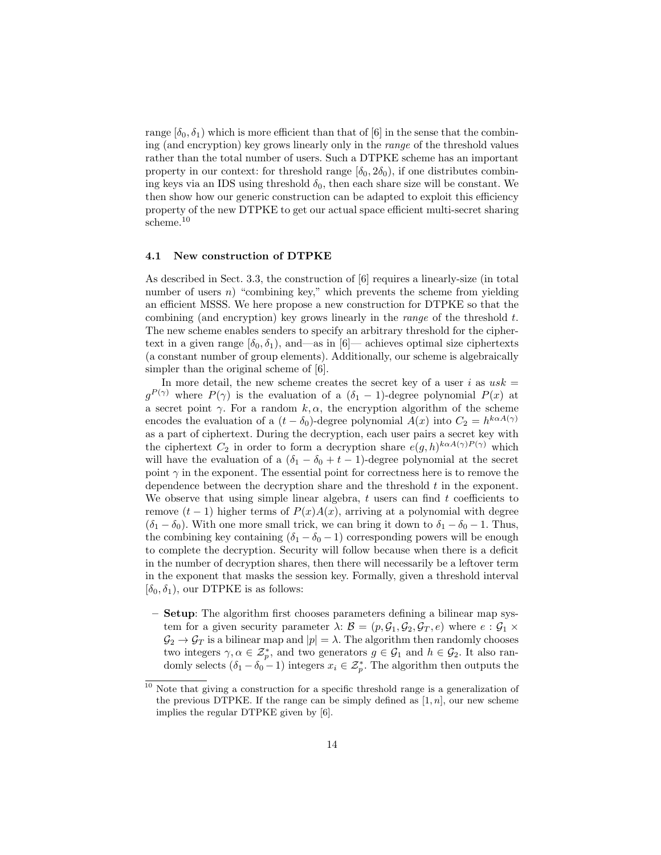range  $[\delta_0, \delta_1]$  which is more efficient than that of [6] in the sense that the combining (and encryption) key grows linearly only in the range of the threshold values rather than the total number of users. Such a DTPKE scheme has an important property in our context: for threshold range  $[\delta_0, 2\delta_0]$ , if one distributes combining keys via an IDS using threshold  $\delta_0$ , then each share size will be constant. We then show how our generic construction can be adapted to exploit this efficiency property of the new DTPKE to get our actual space efficient multi-secret sharing scheme.<sup>10</sup>

#### 4.1 New construction of DTPKE

As described in Sect. 3.3, the construction of [6] requires a linearly-size (in total number of users  $n$ ) "combining key," which prevents the scheme from yielding an efficient MSSS. We here propose a new construction for DTPKE so that the combining (and encryption) key grows linearly in the *range* of the threshold  $t$ . The new scheme enables senders to specify an arbitrary threshold for the ciphertext in a given range  $[\delta_0, \delta_1]$ , and—as in  $[6]$ — achieves optimal size ciphertexts (a constant number of group elements). Additionally, our scheme is algebraically simpler than the original scheme of  $[6]$ .

In more detail, the new scheme creates the secret key of a user i as  $usk =$  $g^{(P(\gamma))}$  where  $P(\gamma)$  is the evaluation of a  $(\delta_1 - 1)$ -degree polynomial  $P(x)$  at a secret point  $\gamma$ . For a random k,  $\alpha$ , the encryption algorithm of the scheme encodes the evaluation of a  $(t - \delta_0)$ -degree polynomial  $A(x)$  into  $C_2 = h^{k \alpha A(\gamma)}$ as a part of ciphertext. During the decryption, each user pairs a secret key with the ciphertext  $C_2$  in order to form a decryption share  $e(g,h)^{k \alpha A(\gamma)P(\gamma)}$  which will have the evaluation of a  $(\delta_1 - \delta_0 + t - 1)$ -degree polynomial at the secret point  $\gamma$  in the exponent. The essential point for correctness here is to remove the dependence between the decryption share and the threshold  $t$  in the exponent. We observe that using simple linear algebra,  $t$  users can find  $t$  coefficients to remove  $(t-1)$  higher terms of  $P(x)A(x)$ , arriving at a polynomial with degree  $(\delta_1 - \delta_0)$ . With one more small trick, we can bring it down to  $\delta_1 - \delta_0 - 1$ . Thus, the combining key containing  $(\delta_1 - \delta_0 - 1)$  corresponding powers will be enough to complete the decryption. Security will follow because when there is a deficit in the number of decryption shares, then there will necessarily be a leftover term in the exponent that masks the session key. Formally, given a threshold interval  $[\delta_0, \delta_1]$ , our DTPKE is as follows:

– Setup: The algorithm first chooses parameters defining a bilinear map system for a given security parameter  $\lambda: \mathcal{B} = (p, \mathcal{G}_1, \mathcal{G}_2, \mathcal{G}_T, e)$  where  $e: \mathcal{G}_1 \times$  $\mathcal{G}_2 \to \mathcal{G}_T$  is a bilinear map and  $|p| = \lambda$ . The algorithm then randomly chooses two integers  $\gamma, \alpha \in \mathcal{Z}_p^*$ , and two generators  $g \in \mathcal{G}_1$  and  $h \in \mathcal{G}_2$ . It also randomly selects  $(\delta_1 - \delta_0 - 1)$  integers  $x_i \in \mathcal{Z}_p^*$ . The algorithm then outputs the

 $10$  Note that giving a construction for a specific threshold range is a generalization of the previous DTPKE. If the range can be simply defined as  $[1, n]$ , our new scheme implies the regular DTPKE given by [6].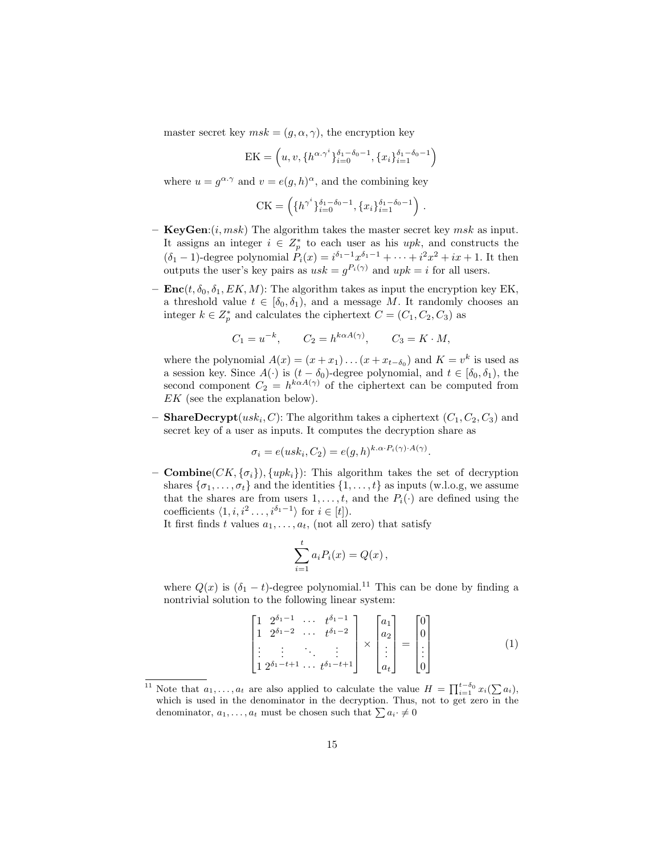master secret key  $msk = (g, \alpha, \gamma)$ , the encryption key

EK = 
$$
(u, v, \{h^{\alpha \cdot \gamma^i}\}_{i=0}^{\delta_1 - \delta_0 - 1}, \{x_i\}_{i=1}^{\delta_1 - \delta_0 - 1})
$$

where  $u = g^{\alpha \cdot \gamma}$  and  $v = e(g, h)^{\alpha}$ , and the combining key

CK = 
$$
\left( \{ h^{\gamma^i} \}_{i=0}^{\delta_1 - \delta_0 - 1}, \{ x_i \}_{i=1}^{\delta_1 - \delta_0 - 1} \right)
$$
.

- **KeyGen:** $(i, msk)$  The algorithm takes the master secret key msk as input. It assigns an integer  $i \in Z_p^*$  to each user as his upk, and constructs the  $(\delta_1 - 1)$ -degree polynomial  $P_i(x) = i^{\delta_1 - 1} x^{\delta_1 - 1} + \cdots + i^2 x^2 + ix + 1$ . It then outputs the user's key pairs as  $usk = g^{P_i(\gamma)}$  and  $upk = i$  for all users.
- $\mathbf{Enc}(t, \delta_0, \delta_1, EK, M)$ : The algorithm takes as input the encryption key EK, a threshold value  $t \in [\delta_0, \delta_1)$ , and a message M. It randomly chooses an integer  $k \in Z_p^*$  and calculates the ciphertext  $C = (C_1, C_2, C_3)$  as

$$
C_1 = u^{-k}, \qquad C_2 = h^{k\alpha A(\gamma)}, \qquad C_3 = K \cdot M,
$$

where the polynomial  $A(x) = (x + x_1) \dots (x + x_{t-\delta_0})$  and  $K = v^k$  is used as a session key. Since  $A(\cdot)$  is  $(t - \delta_0)$ -degree polynomial, and  $t \in [\delta_0, \delta_1)$ , the second component  $C_2 = h^{k \alpha A(\gamma)}$  of the ciphertext can be computed from EK (see the explanation below).

- **ShareDecrypt** $(usk_i, C)$ : The algorithm takes a ciphertext  $(C_1, C_2, C_3)$  and secret key of a user as inputs. It computes the decryption share as

$$
\sigma_i = e(usk_i, C_2) = e(g, h)^{k.\alpha \cdot P_i(\gamma) \cdot A(\gamma)}.
$$

– **Combine**( $CK, \{\sigma_i\}$ ),  $\{upk_i\}$ ): This algorithm takes the set of decryption shares  $\{\sigma_1, \ldots, \sigma_t\}$  and the identities  $\{1, \ldots, t\}$  as inputs (w.l.o.g, we assume that the shares are from users  $1, \ldots, t$ , and the  $P_i(\cdot)$  are defined using the coefficients  $\langle 1, i, i^2 \ldots, i^{\delta_1-1} \rangle$  for  $i \in [t]$ ).

It first finds t values  $a_1, \ldots, a_t$ , (not all zero) that satisfy

$$
\sum_{i=1}^t a_i P_i(x) = Q(x),
$$

where  $Q(x)$  is  $(\delta_1 - t)$ -degree polynomial.<sup>11</sup> This can be done by finding a nontrivial solution to the following linear system:

$$
\begin{bmatrix} 1 & 2^{\delta_1 - 1} & \cdots & t^{\delta_1 - 1} \\ 1 & 2^{\delta_1 - 2} & \cdots & t^{\delta_1 - 2} \\ \vdots & \vdots & \ddots & \vdots \\ 1 & 2^{\delta_1 - t + 1} & \cdots & t^{\delta_1 - t + 1} \end{bmatrix} \times \begin{bmatrix} a_1 \\ a_2 \\ \vdots \\ a_t \end{bmatrix} = \begin{bmatrix} 0 \\ 0 \\ \vdots \\ 0 \end{bmatrix}
$$
(1)

<sup>&</sup>lt;sup>11</sup> Note that  $a_1, \ldots, a_t$  are also applied to calculate the value  $H = \prod_{i=1}^{t-\delta_0} x_i (\sum a_i),$ which is used in the denominator in the decryption. Thus, not to get zero in the denominator,  $a_1, \ldots, a_t$  must be chosen such that  $\sum a_i \neq 0$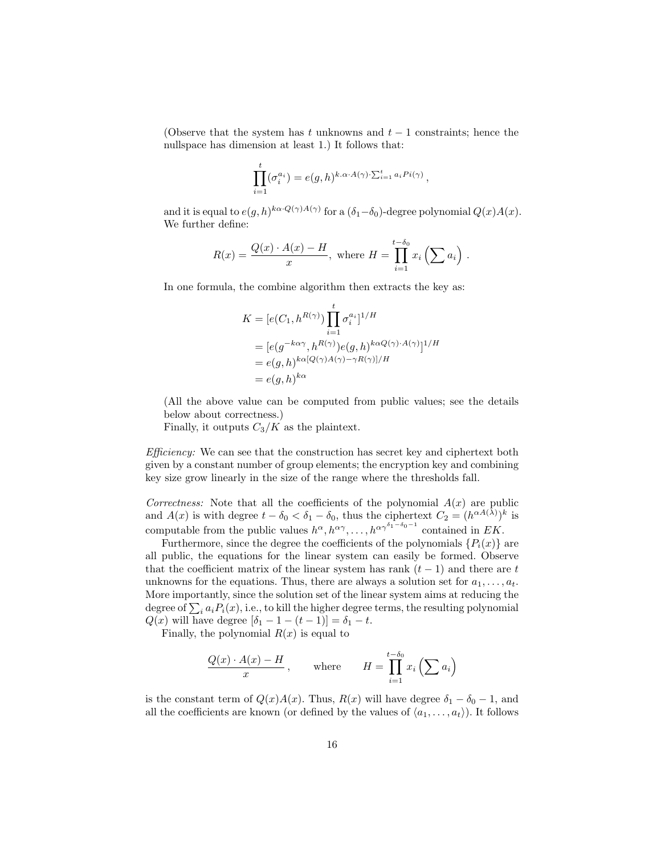(Observe that the system has t unknowns and  $t-1$  constraints; hence the nullspace has dimension at least 1.) It follows that:

$$
\prod_{i=1}^t (\sigma_i^{a_i}) = e(g, h)^{k.\alpha \cdot A(\gamma) \cdot \sum_{i=1}^t a_i Pi(\gamma)},
$$

and it is equal to  $e(g, h)^{k\alpha \cdot Q(\gamma)A(\gamma)}$  for a  $(\delta_1-\delta_0)$ -degree polynomial  $Q(x)A(x)$ . We further define:

$$
R(x) = \frac{Q(x) \cdot A(x) - H}{x}, \text{ where } H = \prod_{i=1}^{t-\delta_0} x_i \left(\sum a_i\right).
$$

In one formula, the combine algorithm then extracts the key as:

$$
K = [e(C_1, h^{R(\gamma)}) \prod_{i=1}^t \sigma_i^{a_i}]^{1/H}
$$
  
= 
$$
[e(g^{-k\alpha\gamma}, h^{R(\gamma)})e(g, h)^{k\alpha Q(\gamma) \cdot A(\gamma)}]^{1/H}
$$
  
= 
$$
e(g, h)^{k\alpha [Q(\gamma)A(\gamma) - \gamma R(\gamma)]/H}
$$
  
= 
$$
e(g, h)^{k\alpha}
$$

(All the above value can be computed from public values; see the details below about correctness.)

Finally, it outputs  $C_3/K$  as the plaintext.

Efficiency: We can see that the construction has secret key and ciphertext both given by a constant number of group elements; the encryption key and combining key size grow linearly in the size of the range where the thresholds fall.

Correctness: Note that all the coefficients of the polynomial  $A(x)$  are public and  $A(x)$  is with degree  $t - \delta_0 < \delta_1 - \delta_0$ , thus the ciphertext  $C_2 = (h^{\alpha A(\lambda)})^k$  is computable from the public values  $h^{\alpha}, h^{\alpha\gamma}, \ldots, h^{\alpha\gamma^{\delta_1-\delta_0-1}}$  contained in EK.

Furthermore, since the degree the coefficients of the polynomials  $\{P_i(x)\}\$ are all public, the equations for the linear system can easily be formed. Observe that the coefficient matrix of the linear system has rank  $(t-1)$  and there are t unknowns for the equations. Thus, there are always a solution set for  $a_1, \ldots, a_t$ . More importantly, since the solution set of the linear system aims at reducing the degree of  $\sum_i a_i P_i(x)$ , i.e., to kill the higher degree terms, the resulting polynomial  $Q(x)$  will have degree  $[\delta_1 - 1 - (t - 1)] = \delta_1 - t$ .

Finally, the polynomial  $R(x)$  is equal to

$$
\frac{Q(x) \cdot A(x) - H}{x}, \quad \text{where} \quad H = \prod_{i=1}^{t-\delta_0} x_i \left(\sum a_i\right)
$$

is the constant term of  $Q(x)A(x)$ . Thus,  $R(x)$  will have degree  $\delta_1 - \delta_0 - 1$ , and all the coefficients are known (or defined by the values of  $\langle a_1, \ldots, a_t \rangle$ ). It follows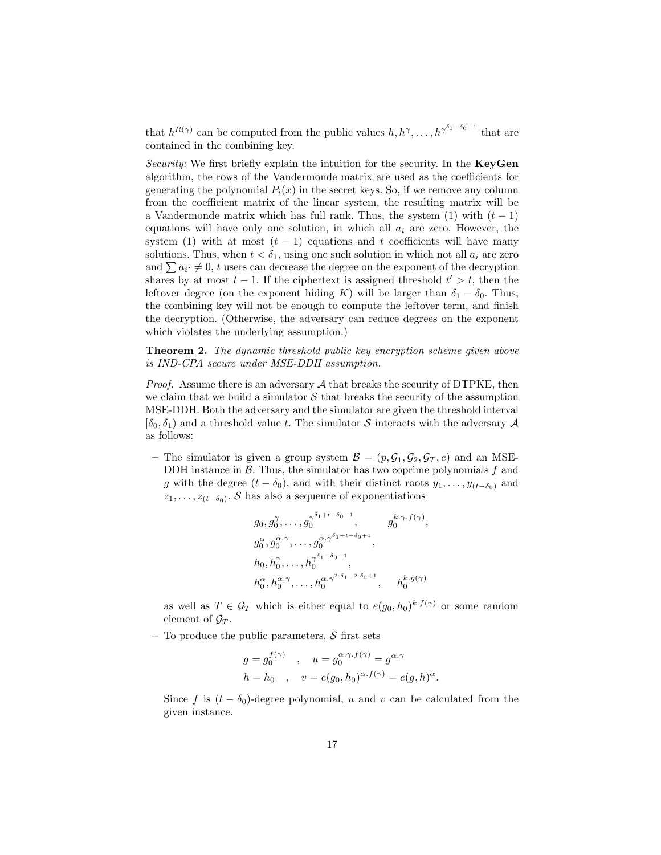that  $h^{R(\gamma)}$  can be computed from the public values  $h, h^{\gamma}, \ldots, h^{\gamma^{\delta_1-\delta_0-1}}$  that are contained in the combining key.

Security: We first briefly explain the intuition for the security. In the **KeyGen** algorithm, the rows of the Vandermonde matrix are used as the coefficients for generating the polynomial  $P_i(x)$  in the secret keys. So, if we remove any column from the coefficient matrix of the linear system, the resulting matrix will be a Vandermonde matrix which has full rank. Thus, the system  $(1)$  with  $(t - 1)$ equations will have only one solution, in which all  $a_i$  are zero. However, the system (1) with at most  $(t-1)$  equations and t coefficients will have many solutions. Thus, when  $t < \delta_1$ , using one such solution in which not all  $a_i$  are zero and  $\sum a_i \neq 0$ , t users can decrease the degree on the exponent of the decryption shares by at most  $t - 1$ . If the ciphertext is assigned threshold  $t' > t$ , then the leftover degree (on the exponent hiding K) will be larger than  $\delta_1 - \delta_0$ . Thus, the combining key will not be enough to compute the leftover term, and finish the decryption. (Otherwise, the adversary can reduce degrees on the exponent which violates the underlying assumption.)

Theorem 2. The dynamic threshold public key encryption scheme given above is IND-CPA secure under MSE-DDH assumption.

*Proof.* Assume there is an adversary  $A$  that breaks the security of DTPKE, then we claim that we build a simulator  $S$  that breaks the security of the assumption MSE-DDH. Both the adversary and the simulator are given the threshold interval  $[\delta_0, \delta_1]$  and a threshold value t. The simulator S interacts with the adversary A as follows:

– The simulator is given a group system  $\mathcal{B} = (p, \mathcal{G}_1, \mathcal{G}_2, \mathcal{G}_T, e)$  and an MSE-DDH instance in  $\beta$ . Thus, the simulator has two coprime polynomials  $f$  and g with the degree  $(t - \delta_0)$ , and with their distinct roots  $y_1, \ldots, y_{(t-\delta_0)}$  and  $z_1, \ldots, z_{(t-\delta_0)}$ . S has also a sequence of exponentiations

$$
g_0, g_0^{\gamma}, \dots, g_0^{\gamma^{\delta_1+t-\delta_0-1}}, \qquad g_0^{k,\gamma,f(\gamma)},
$$
  
\n
$$
g_0^{\alpha}, g_0^{\alpha,\gamma}, \dots, g_0^{\alpha,\gamma^{\delta_1+t-\delta_0+1}},
$$
  
\n
$$
h_0, h_0^{\gamma}, \dots, h_0^{\gamma^{\delta_1-\delta_0-1}},
$$
  
\n
$$
h_0^{\alpha}, h_0^{\alpha,\gamma}, \dots, h_0^{\alpha,\gamma^{2,\delta_1-2,\delta_0+1}}, \qquad h_0^{k,g(\gamma)}
$$

as well as  $T \in \mathcal{G}_T$  which is either equal to  $e(g_0, h_0)^{k \cdot f(\gamma)}$  or some random element of  $\mathcal{G}_T$ .

– To produce the public parameters,  $S$  first sets

$$
g = g_0^{f(\gamma)} \quad , \quad u = g_0^{\alpha \cdot \gamma \cdot f(\gamma)} = g^{\alpha \cdot \gamma}
$$

$$
h = h_0 \quad , \quad v = e(g_0, h_0)^{\alpha \cdot f(\gamma)} = e(g, h)^{\alpha}.
$$

Since f is  $(t - \delta_0)$ -degree polynomial, u and v can be calculated from the given instance.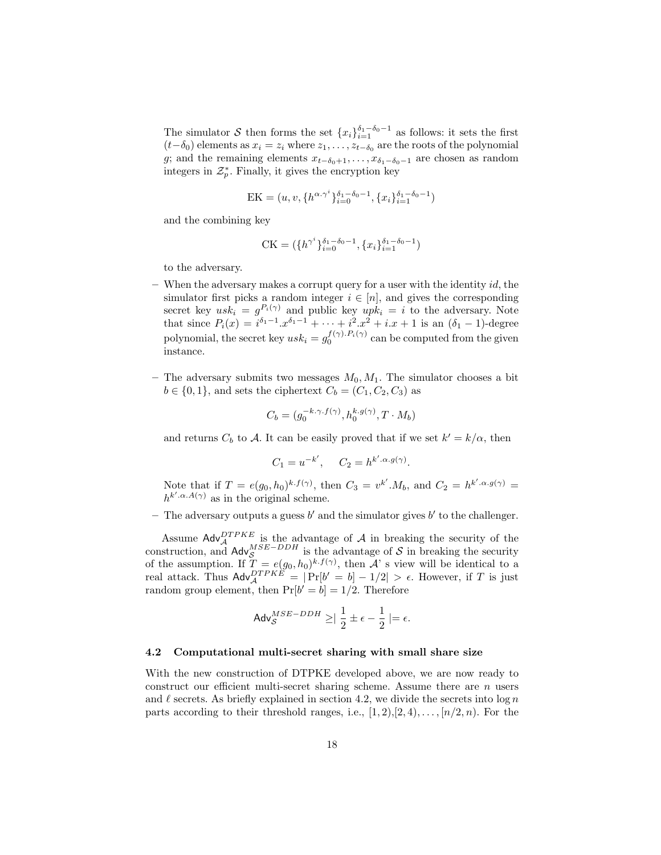The simulator S then forms the set  $\{x_i\}_{i=1}^{\delta_1-\delta_0-1}$  as follows: it sets the first  $(t-\delta_0)$  elements as  $x_i = z_i$  where  $z_1, \ldots, z_{t-\delta_0}$  are the roots of the polynomial g; and the remaining elements  $x_{t-\delta_0+1}, \ldots, x_{\delta_1-\delta_0-1}$  are chosen as random integers in  $\mathcal{Z}_p^*$ . Finally, it gives the encryption key

$$
EK = (u, v, \{h^{\alpha \cdot \gamma^i}\}_{i=0}^{\delta_1 - \delta_0 - 1}, \{x_i\}_{i=1}^{\delta_1 - \delta_0 - 1})
$$

and the combining key

$$
CK = (\{h^{\gamma^i}\}_{i=0}^{\delta_1 - \delta_0 - 1}, \{x_i\}_{i=1}^{\delta_1 - \delta_0 - 1})
$$

to the adversary.

- $-$  When the adversary makes a corrupt query for a user with the identity id, the simulator first picks a random integer  $i \in [n]$ , and gives the corresponding secret key  $usk_i = g^{P_i(\gamma)}$  and public key  $upk_i = i$  to the adversary. Note that since  $P_i(x) = i^{\delta_1 - 1} \cdot x^{\delta_1 - 1} + \cdots + i^2 \cdot x^2 + i \cdot x + 1$  is an  $(\delta_1 - 1)$ -degree polynomial, the secret key  $usk_i = g_0^{f(\gamma) \cdot P_i(\gamma)}$  can be computed from the given instance.
- The adversary submits two messages  $M_0, M_1$ . The simulator chooses a bit  $b \in \{0, 1\}$ , and sets the ciphertext  $C_b = (C_1, C_2, C_3)$  as

$$
C_b=(g_0^{-k.\gamma.f(\gamma)},h_0^{k.g(\gamma)},T\cdot M_b)
$$

and returns  $C_b$  to A. It can be easily proved that if we set  $k' = k/\alpha$ , then

$$
C_1 = u^{-k'}, \quad C_2 = h^{k'.\alpha.g(\gamma)}
$$

.

Note that if  $T = e(g_0, h_0)^{k \cdot f(\gamma)}$ , then  $C_3 = v^{k'} \cdot M_b$ , and  $C_2 = h^{k' \cdot \alpha \cdot g(\gamma)} =$  $h^{k', \alpha, A(\gamma)}$  as in the original scheme.

- The adversary outputs a guess  $b'$  and the simulator gives  $b'$  to the challenger.

Assume  $\mathsf{Adv}_{\mathcal{A}}^{DTPKE}$  is the advantage of  $\mathcal{A}$  in breaking the security of the construction, and  $\mathsf{Adv}_{\mathcal{S}}^{MSE-DDH}$  is the advantage of S in breaking the security of the assumption. If  $T = e(g_0, h_0)^{k \cdot f(\gamma)}$ , then A' s view will be identical to a real attack. Thus  $\mathsf{Adv}_{\mathcal{A}}^{DTPKE} = |\Pr[b' = b] - 1/2| > \epsilon$ . However, if T is just random group element, then  $Pr[b' = b] = 1/2$ . Therefore

$$
\mathsf{Adv}_{\mathcal{S}}^{MSE-DDH}\geq\mid\frac{1}{2}\pm\epsilon-\frac{1}{2}\mid=\epsilon.
$$

#### 4.2 Computational multi-secret sharing with small share size

With the new construction of DTPKE developed above, we are now ready to construct our efficient multi-secret sharing scheme. Assume there are n users and  $\ell$  secrets. As briefly explained in section 4.2, we divide the secrets into log n parts according to their threshold ranges, i.e.,  $[1, 2), [2, 4), \ldots, [n/2, n]$ . For the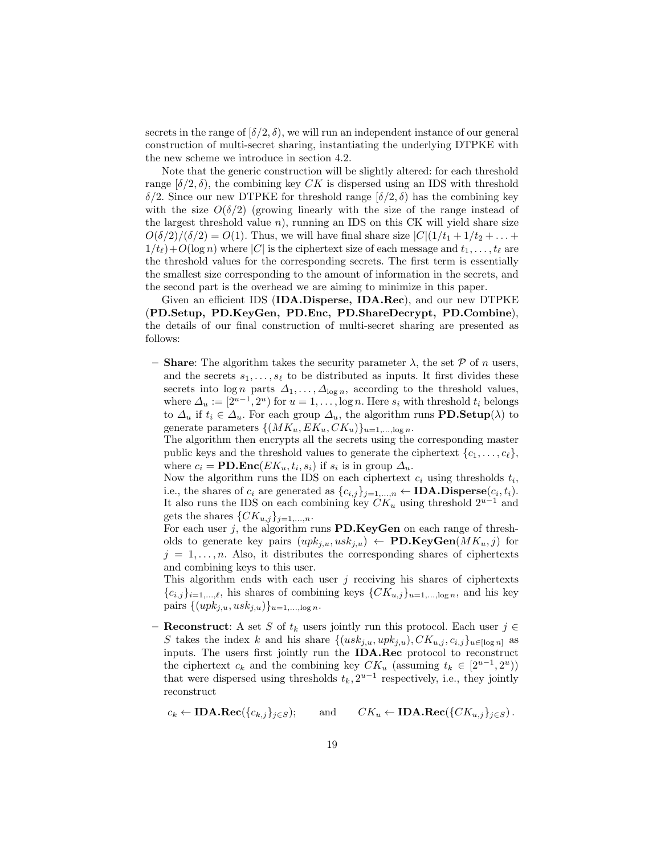secrets in the range of  $[\delta/2, \delta)$ , we will run an independent instance of our general construction of multi-secret sharing, instantiating the underlying DTPKE with the new scheme we introduce in section 4.2.

Note that the generic construction will be slightly altered: for each threshold range  $[\delta/2, \delta)$ , the combining key CK is dispersed using an IDS with threshold δ/2. Since our new DTPKE for threshold range [δ/2, δ) has the combining key with the size  $O(\delta/2)$  (growing linearly with the size of the range instead of the largest threshold value  $n$ ), running an IDS on this CK will yield share size  $O(\delta/2)/(\delta/2) = O(1)$ . Thus, we will have final share size  $|C|(1/t_1 + 1/t_2 + ... +$  $1/t_{\ell}$ )+O(log n) where |C| is the ciphertext size of each message and  $t_1, \ldots, t_{\ell}$  are the threshold values for the corresponding secrets. The first term is essentially the smallest size corresponding to the amount of information in the secrets, and the second part is the overhead we are aiming to minimize in this paper.

Given an efficient IDS (IDA.Disperse, IDA.Rec), and our new DTPKE (PD.Setup, PD.KeyGen, PD.Enc, PD.ShareDecrypt, PD.Combine), the details of our final construction of multi-secret sharing are presented as follows:

– **Share:** The algorithm takes the security parameter  $\lambda$ , the set  $\mathcal P$  of n users, and the secrets  $s_1, \ldots, s_\ell$  to be distributed as inputs. It first divides these secrets into  $\log n$  parts  $\Delta_1, \ldots, \Delta_{\log n}$ , according to the threshold values, where  $\Delta_u := [2^{u-1}, 2^u)$  for  $u = 1, \ldots, \log n$ . Here  $s_i$  with threshold  $t_i$  belongs to  $\Delta_u$  if  $t_i \in \Delta_u$ . For each group  $\Delta_u$ , the algorithm runs **PD.Setup**( $\lambda$ ) to generate parameters  $\{(MK_u, EK_u, CK_u)\}_{u=1,\dots,\log n}$ .

The algorithm then encrypts all the secrets using the corresponding master public keys and the threshold values to generate the ciphertext  ${c_1, \ldots, c_\ell}$ , where  $c_i = \text{PD}.\text{Enc}(EK_u, t_i, s_i)$  if  $s_i$  is in group  $\Delta_u$ .

Now the algorithm runs the IDS on each ciphertext  $c_i$  using thresholds  $t_i$ , i.e., the shares of  $c_i$  are generated as  $\{c_{i,j}\}_{j=1,\ldots,n} \leftarrow \textbf{IDA.Disperse}(c_i, t_i)$ . It also runs the IDS on each combining key  $CK_u$  using threshold  $2^{u-1}$  and gets the shares  $\{CK_{u,j}\}_{j=1,...,n}$ .

For each user  $j$ , the algorithm runs PD.KeyGen on each range of thresholds to generate key pairs  $(upk_{j,u},usk_{j,u}) \leftarrow \textbf{PD.KeyGen}(MK_u, j)$  for  $j = 1, \ldots, n$ . Also, it distributes the corresponding shares of ciphertexts and combining keys to this user.

This algorithm ends with each user  $j$  receiving his shares of ciphertexts  ${c_{i,j}}_{i=1,\ldots,\ell}$ , his shares of combining keys  ${CK_{u,j}}_{u=1,\ldots,\log n}$ , and his key pairs  $\{(upk_{j,u},usk_{j,u})\}_{u=1,\ldots,\log n}$ .

– Reconstruct: A set S of  $t_k$  users jointly run this protocol. Each user  $j \in$ S takes the index k and his share  $\{(usk_{j,u}, upk_{j,u}), CK_{u,j}, c_{i,j}\}_{u \in [\log n]}$  as inputs. The users first jointly run the IDA.Rec protocol to reconstruct the ciphertext  $c_k$  and the combining key  $CK_u$  (assuming  $t_k \in [2^{u-1}, 2^u)$ ) that were dispersed using thresholds  $t_k, 2^{u-1}$  respectively, i.e., they jointly reconstruct

$$
c_k \leftarrow \textbf{IDA}.\textbf{Rec}(\{c_{k,j}\}_{j\in S}); \quad \text{and} \quad CK_u \leftarrow \textbf{IDA}.\textbf{Rec}(\{CK_{u,j}\}_{j\in S}).
$$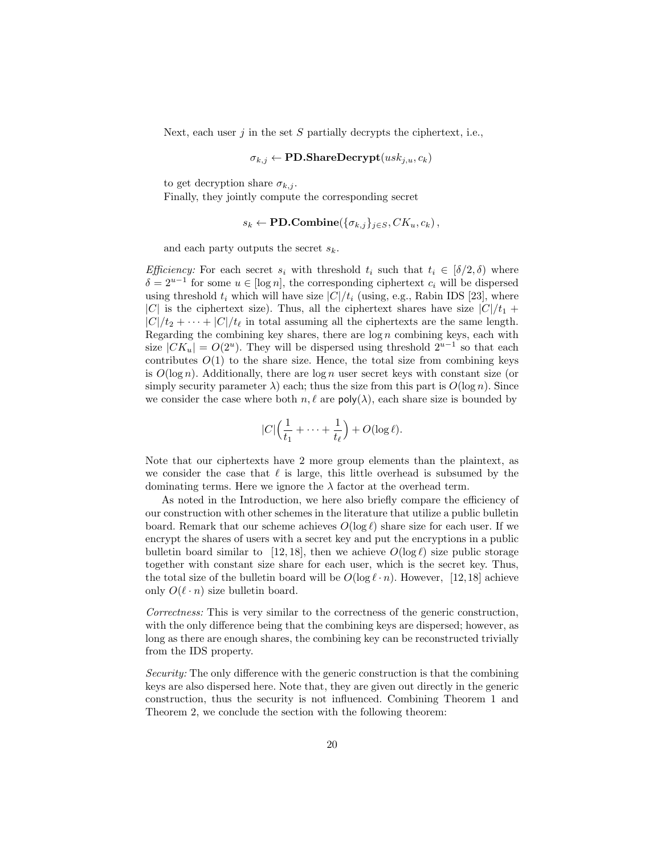Next, each user  $j$  in the set  $S$  partially decrypts the ciphertext, i.e.,

$$
\sigma_{k,j} \leftarrow \textbf{PD}.\textbf{ShareDecrypt}(usk_{j,u}, c_k)
$$

to get decryption share  $\sigma_{k,j}$ .

Finally, they jointly compute the corresponding secret

$$
s_k \leftarrow \textbf{PD}.\textbf{Combine}(\{\sigma_{k,j}\}_{j \in S}, CK_u, c_k),
$$

and each party outputs the secret  $s_k$ .

*Efficiency:* For each secret  $s_i$  with threshold  $t_i$  such that  $t_i \in [\delta/2, \delta)$  where  $\delta = 2^{u-1}$  for some  $u \in [\log n]$ , the corresponding ciphertext  $c_i$  will be dispersed using threshold  $t_i$  which will have size  $|C|/t_i$  (using, e.g., Rabin IDS [23], where |C| is the ciphertext size). Thus, all the ciphertext shares have size  $|C|/t_1$  +  $|C|/t_2 + \cdots + |C|/t_\ell$  in total assuming all the ciphertexts are the same length. Regarding the combining key shares, there are  $log n$  combining keys, each with size  $|CK_u| = O(2^u)$ . They will be dispersed using threshold  $2^{u-1}$  so that each contributes  $O(1)$  to the share size. Hence, the total size from combining keys is  $O(\log n)$ . Additionally, there are  $\log n$  user secret keys with constant size (or simply security parameter  $\lambda$ ) each; thus the size from this part is  $O(\log n)$ . Since we consider the case where both  $n, \ell$  are  $\text{poly}(\lambda)$ , each share size is bounded by

$$
|C|\Big(\frac{1}{t_1}+\cdots+\frac{1}{t_\ell}\Big)+O(\log \ell).
$$

Note that our ciphertexts have 2 more group elements than the plaintext, as we consider the case that  $\ell$  is large, this little overhead is subsumed by the dominating terms. Here we ignore the  $\lambda$  factor at the overhead term.

As noted in the Introduction, we here also briefly compare the efficiency of our construction with other schemes in the literature that utilize a public bulletin board. Remark that our scheme achieves  $O(\log \ell)$  share size for each user. If we encrypt the shares of users with a secret key and put the encryptions in a public bullet the board similar to [12, 18], then we achieve  $O(\log \ell)$  size public storage together with constant size share for each user, which is the secret key. Thus, the total size of the bulletin board will be  $O(\log \ell \cdot n)$ . However, [12, 18] achieve only  $O(\ell \cdot n)$  size bullet in board.

Correctness: This is very similar to the correctness of the generic construction, with the only difference being that the combining keys are dispersed; however, as long as there are enough shares, the combining key can be reconstructed trivially from the IDS property.

Security: The only difference with the generic construction is that the combining keys are also dispersed here. Note that, they are given out directly in the generic construction, thus the security is not influenced. Combining Theorem 1 and Theorem 2, we conclude the section with the following theorem: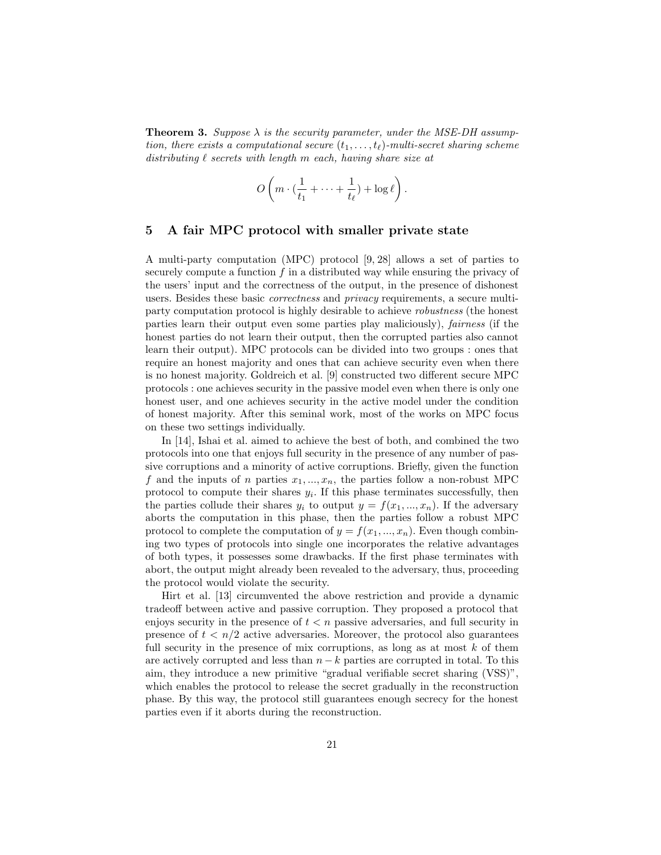**Theorem 3.** Suppose  $\lambda$  is the security parameter, under the MSE-DH assumption, there exists a computational secure  $(t_1, \ldots, t_\ell)$ -multi-secret sharing scheme distributing  $\ell$  secrets with length m each, having share size at

$$
O\left(m\cdot\left(\frac{1}{t_1}+\cdots+\frac{1}{t_\ell}\right)+\log\ell\right).
$$

### 5 A fair MPC protocol with smaller private state

A multi-party computation (MPC) protocol [9, 28] allows a set of parties to securely compute a function  $f$  in a distributed way while ensuring the privacy of the users' input and the correctness of the output, in the presence of dishonest users. Besides these basic correctness and privacy requirements, a secure multiparty computation protocol is highly desirable to achieve robustness (the honest parties learn their output even some parties play maliciously), fairness (if the honest parties do not learn their output, then the corrupted parties also cannot learn their output). MPC protocols can be divided into two groups : ones that require an honest majority and ones that can achieve security even when there is no honest majority. Goldreich et al. [9] constructed two different secure MPC protocols : one achieves security in the passive model even when there is only one honest user, and one achieves security in the active model under the condition of honest majority. After this seminal work, most of the works on MPC focus on these two settings individually.

In [14], Ishai et al. aimed to achieve the best of both, and combined the two protocols into one that enjoys full security in the presence of any number of passive corruptions and a minority of active corruptions. Briefly, given the function f and the inputs of n parties  $x_1, ..., x_n$ , the parties follow a non-robust MPC protocol to compute their shares  $y_i$ . If this phase terminates successfully, then the parties collude their shares  $y_i$  to output  $y = f(x_1, ..., x_n)$ . If the adversary aborts the computation in this phase, then the parties follow a robust MPC protocol to complete the computation of  $y = f(x_1, ..., x_n)$ . Even though combining two types of protocols into single one incorporates the relative advantages of both types, it possesses some drawbacks. If the first phase terminates with abort, the output might already been revealed to the adversary, thus, proceeding the protocol would violate the security.

Hirt et al. [13] circumvented the above restriction and provide a dynamic tradeoff between active and passive corruption. They proposed a protocol that enjoys security in the presence of  $t < n$  passive adversaries, and full security in presence of  $t < n/2$  active adversaries. Moreover, the protocol also guarantees full security in the presence of mix corruptions, as long as at most  $k$  of them are actively corrupted and less than  $n - k$  parties are corrupted in total. To this aim, they introduce a new primitive "gradual verifiable secret sharing (VSS)", which enables the protocol to release the secret gradually in the reconstruction phase. By this way, the protocol still guarantees enough secrecy for the honest parties even if it aborts during the reconstruction.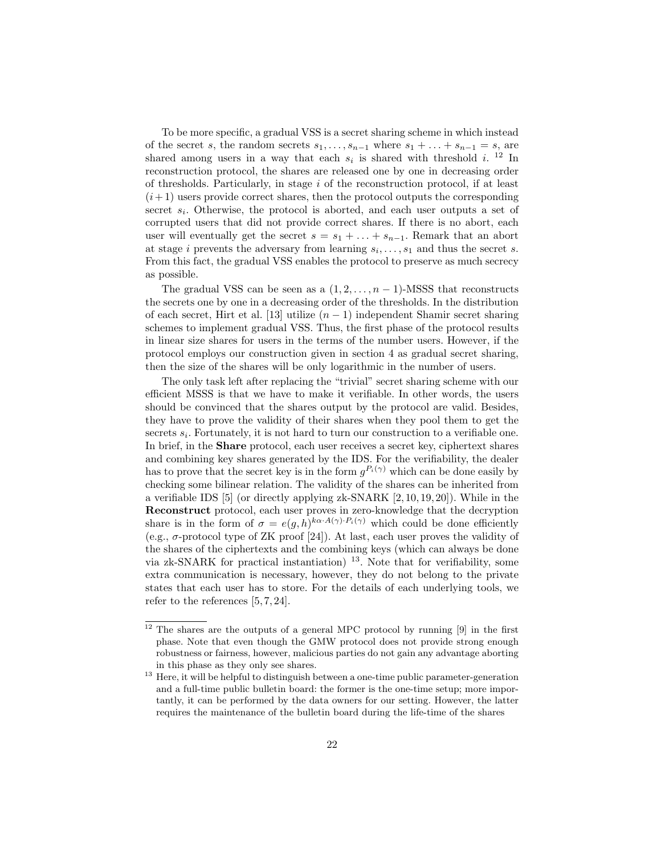To be more specific, a gradual VSS is a secret sharing scheme in which instead of the secret s, the random secrets  $s_1, \ldots, s_{n-1}$  where  $s_1 + \ldots + s_{n-1} = s$ , are shared among users in a way that each  $s_i$  is shared with threshold i.<sup>12</sup> In reconstruction protocol, the shares are released one by one in decreasing order of thresholds. Particularly, in stage  $i$  of the reconstruction protocol, if at least  $(i+1)$  users provide correct shares, then the protocol outputs the corresponding secret  $s_i$ . Otherwise, the protocol is aborted, and each user outputs a set of corrupted users that did not provide correct shares. If there is no abort, each user will eventually get the secret  $s = s_1 + \ldots + s_{n-1}$ . Remark that an abort at stage *i* prevents the adversary from learning  $s_i, \ldots, s_1$  and thus the secret *s*. From this fact, the gradual VSS enables the protocol to preserve as much secrecy as possible.

The gradual VSS can be seen as a  $(1, 2, \ldots, n-1)$ -MSSS that reconstructs the secrets one by one in a decreasing order of the thresholds. In the distribution of each secret, Hirt et al. [13] utilize  $(n-1)$  independent Shamir secret sharing schemes to implement gradual VSS. Thus, the first phase of the protocol results in linear size shares for users in the terms of the number users. However, if the protocol employs our construction given in section 4 as gradual secret sharing, then the size of the shares will be only logarithmic in the number of users.

The only task left after replacing the "trivial" secret sharing scheme with our efficient MSSS is that we have to make it verifiable. In other words, the users should be convinced that the shares output by the protocol are valid. Besides, they have to prove the validity of their shares when they pool them to get the secrets  $s_i$ . Fortunately, it is not hard to turn our construction to a verifiable one. In brief, in the Share protocol, each user receives a secret key, ciphertext shares and combining key shares generated by the IDS. For the verifiability, the dealer has to prove that the secret key is in the form  $g^{P_i(\gamma)}$  which can be done easily by checking some bilinear relation. The validity of the shares can be inherited from a verifiable IDS [5] (or directly applying zk-SNARK [2, 10, 19, 20]). While in the Reconstruct protocol, each user proves in zero-knowledge that the decryption share is in the form of  $\sigma = e(g, h)^{k \alpha \cdot A(\gamma) \cdot P_i(\gamma)}$  which could be done efficiently (e.g.,  $\sigma$ -protocol type of ZK proof [24]). At last, each user proves the validity of the shares of the ciphertexts and the combining keys (which can always be done via zk-SNARK for practical instantiation)  $^{13}$ . Note that for verifiability, some extra communication is necessary, however, they do not belong to the private states that each user has to store. For the details of each underlying tools, we refer to the references [5, 7, 24].

<sup>&</sup>lt;sup>12</sup> The shares are the outputs of a general MPC protocol by running [9] in the first phase. Note that even though the GMW protocol does not provide strong enough robustness or fairness, however, malicious parties do not gain any advantage aborting in this phase as they only see shares.

 $13$  Here, it will be helpful to distinguish between a one-time public parameter-generation and a full-time public bulletin board: the former is the one-time setup; more importantly, it can be performed by the data owners for our setting. However, the latter requires the maintenance of the bulletin board during the life-time of the shares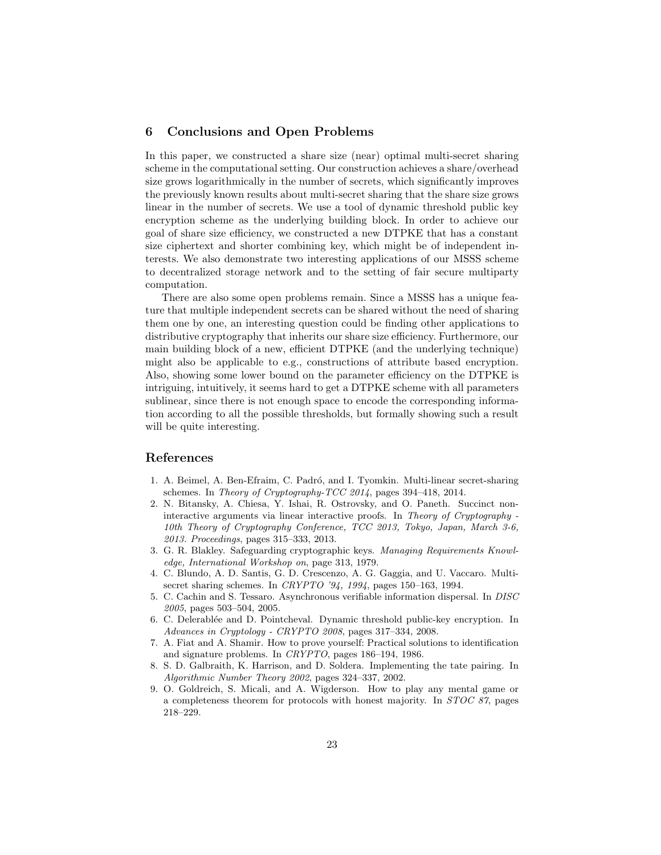## 6 Conclusions and Open Problems

In this paper, we constructed a share size (near) optimal multi-secret sharing scheme in the computational setting. Our construction achieves a share/overhead size grows logarithmically in the number of secrets, which significantly improves the previously known results about multi-secret sharing that the share size grows linear in the number of secrets. We use a tool of dynamic threshold public key encryption scheme as the underlying building block. In order to achieve our goal of share size efficiency, we constructed a new DTPKE that has a constant size ciphertext and shorter combining key, which might be of independent interests. We also demonstrate two interesting applications of our MSSS scheme to decentralized storage network and to the setting of fair secure multiparty computation.

There are also some open problems remain. Since a MSSS has a unique feature that multiple independent secrets can be shared without the need of sharing them one by one, an interesting question could be finding other applications to distributive cryptography that inherits our share size efficiency. Furthermore, our main building block of a new, efficient DTPKE (and the underlying technique) might also be applicable to e.g., constructions of attribute based encryption. Also, showing some lower bound on the parameter efficiency on the DTPKE is intriguing, intuitively, it seems hard to get a DTPKE scheme with all parameters sublinear, since there is not enough space to encode the corresponding information according to all the possible thresholds, but formally showing such a result will be quite interesting.

### References

- 1. A. Beimel, A. Ben-Efraim, C. Padró, and I. Tyomkin. Multi-linear secret-sharing schemes. In Theory of Cryptography-TCC 2014, pages 394–418, 2014.
- 2. N. Bitansky, A. Chiesa, Y. Ishai, R. Ostrovsky, and O. Paneth. Succinct noninteractive arguments via linear interactive proofs. In Theory of Cryptography - 10th Theory of Cryptography Conference, TCC 2013, Tokyo, Japan, March 3-6, 2013. Proceedings, pages 315–333, 2013.
- 3. G. R. Blakley. Safeguarding cryptographic keys. Managing Requirements Knowledge, International Workshop on, page 313, 1979.
- 4. C. Blundo, A. D. Santis, G. D. Crescenzo, A. G. Gaggia, and U. Vaccaro. Multisecret sharing schemes. In CRYPTO '94, 1994, pages 150–163, 1994.
- 5. C. Cachin and S. Tessaro. Asynchronous verifiable information dispersal. In DISC 2005, pages 503–504, 2005.
- 6. C. Delerablée and D. Pointcheval. Dynamic threshold public-key encryption. In Advances in Cryptology - CRYPTO 2008, pages 317–334, 2008.
- 7. A. Fiat and A. Shamir. How to prove yourself: Practical solutions to identification and signature problems. In CRYPTO, pages 186–194, 1986.
- 8. S. D. Galbraith, K. Harrison, and D. Soldera. Implementing the tate pairing. In Algorithmic Number Theory 2002, pages 324–337, 2002.
- 9. O. Goldreich, S. Micali, and A. Wigderson. How to play any mental game or a completeness theorem for protocols with honest majority. In STOC 87, pages 218–229.